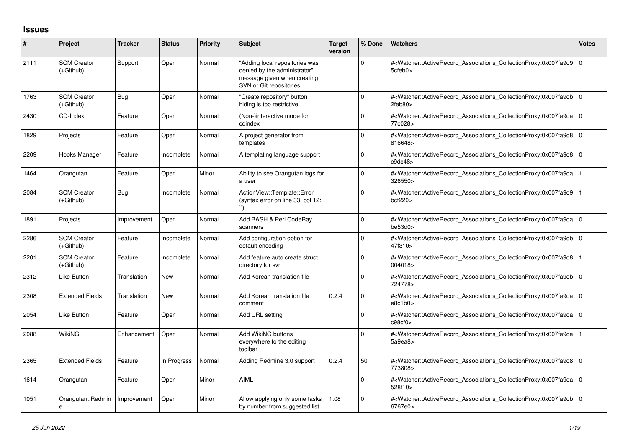## **Issues**

| #    | Project                           | <b>Tracker</b> | <b>Status</b> | <b>Priority</b> | <b>Subject</b>                                                                                                           | Target<br>version | % Done      | <b>Watchers</b>                                                                                                                                                | <b>Votes</b> |
|------|-----------------------------------|----------------|---------------|-----------------|--------------------------------------------------------------------------------------------------------------------------|-------------------|-------------|----------------------------------------------------------------------------------------------------------------------------------------------------------------|--------------|
| 2111 | <b>SCM Creator</b><br>(+Github)   | Support        | Open          | Normal          | "Adding local repositories was<br>denied by the administrator"<br>message given when creating<br>SVN or Git repositories |                   | $\Omega$    | # <watcher::activerecord 0<br="" associations="" collectionproxy:0x007fa9d9=""  ="">5cfeb0&gt;</watcher::activerecord>                                         |              |
| 1763 | <b>SCM Creator</b><br>(+Github)   | Bug            | Open          | Normal          | "Create repository" button<br>hiding is too restrictive                                                                  |                   | $\Omega$    | # <watcher::activerecord 0<br="" associations="" collectionproxy:0x007fa9db=""  ="">2feb80</watcher::activerecord>                                             |              |
| 2430 | CD-Index                          | Feature        | Open          | Normal          | (Non-)interactive mode for<br>cdindex                                                                                    |                   | $\Omega$    | # <watcher::activerecord 0<br="" associations="" collectionproxy:0x007fa9da=""  ="">77c028&gt;</watcher::activerecord>                                         |              |
| 1829 | Projects                          | Feature        | Open          | Normal          | A project generator from<br>templates                                                                                    |                   | $\Omega$    | # <watcher::activerecord 0<br="" associations="" collectionproxy:0x007fa9d8=""  ="">816648&gt;</watcher::activerecord>                                         |              |
| 2209 | Hooks Manager                     | Feature        | Incomplete    | Normal          | A templating language support                                                                                            |                   | 0           | # <watcher::activerecord_associations_collectionproxy:0x007fa9d8 0<br=""  ="">c9dc48&gt;</watcher::activerecord_associations_collectionproxy:0x007fa9d8>       |              |
| 1464 | Orangutan                         | Feature        | Open          | Minor           | Ability to see Orangutan logs for<br>a user                                                                              |                   | $\mathbf 0$ | # <watcher::activerecord associations="" collectionproxy:0x007fa9da<br="">326550&gt;</watcher::activerecord>                                                   |              |
| 2084 | <b>SCM Creator</b><br>(+Github)   | Bug            | Incomplete    | Normal          | ActionView::Template::Error<br>(syntax error on line 33, col 12:                                                         |                   | $\Omega$    | # <watcher::activerecord associations="" collectionproxy:0x007fa9d9<br="">bcf220</watcher::activerecord>                                                       |              |
| 1891 | Projects                          | Improvement    | Open          | Normal          | Add BASH & Perl CodeRay<br>scanners                                                                                      |                   | 0           | # <watcher::activerecord_associations_collectionproxy:0x007fa9da 0<br="">be53d0<sub>&gt;</sub></watcher::activerecord_associations_collectionproxy:0x007fa9da> |              |
| 2286 | <b>SCM Creator</b><br>(+Github)   | Feature        | Incomplete    | Normal          | Add configuration option for<br>default encoding                                                                         |                   | $\Omega$    | # <watcher::activerecord_associations_collectionproxy:0x007fa9db 0<br="">47f310&gt;</watcher::activerecord_associations_collectionproxy:0x007fa9db>            |              |
| 2201 | <b>SCM Creator</b><br>(+Github)   | Feature        | Incomplete    | Normal          | Add feature auto create struct<br>directory for svn                                                                      |                   | $\Omega$    | # <watcher::activerecord associations="" collectionproxy:0x007fa9d8<br="">004018&gt;</watcher::activerecord>                                                   |              |
| 2312 | Like Button                       | Translation    | <b>New</b>    | Normal          | Add Korean translation file                                                                                              |                   | $\Omega$    | # <watcher::activerecord_associations_collectionproxy:0x007fa9db 0<br="">724778&gt;</watcher::activerecord_associations_collectionproxy:0x007fa9db>            |              |
| 2308 | <b>Extended Fields</b>            | Translation    | New           | Normal          | Add Korean translation file<br>comment                                                                                   | 0.2.4             | $\Omega$    | # <watcher::activerecord_associations_collectionproxy:0x007fa9da 0<br="">e8c1b0</watcher::activerecord_associations_collectionproxy:0x007fa9da>                |              |
| 2054 | Like Button                       | Feature        | Open          | Normal          | Add URL setting                                                                                                          |                   | $\Omega$    | # <watcher::activerecord 0<br="" associations="" collectionproxy:0x007fa9da=""  ="">c98cf0</watcher::activerecord>                                             |              |
| 2088 | <b>WikiNG</b>                     | Enhancement    | Open          | Normal          | Add WikiNG buttons<br>everywhere to the editing<br>toolbar                                                               |                   | $\mathbf 0$ | # <watcher::activerecord associations="" collectionproxy:0x007fa9da<br="">5a9ea8&gt;</watcher::activerecord>                                                   |              |
| 2365 | <b>Extended Fields</b>            | Feature        | In Progress   | Normal          | Adding Redmine 3.0 support                                                                                               | 0.2.4             | 50          | # <watcher::activerecord_associations_collectionproxy:0x007fa9d8 0<br=""  ="">773808&gt;</watcher::activerecord_associations_collectionproxy:0x007fa9d8>       |              |
| 1614 | Orangutan                         | Feature        | Open          | Minor           | AIML                                                                                                                     |                   | $\Omega$    | # <watcher::activerecord_associations_collectionproxy:0x007fa9da 0<br=""  ="">528f10&gt;</watcher::activerecord_associations_collectionproxy:0x007fa9da>       |              |
| 1051 | Orangutan::Redmin<br>$\mathsf{e}$ | Improvement    | Open          | Minor           | Allow applying only some tasks<br>by number from suggested list                                                          | 1.08              | $\Omega$    | # <watcher::activerecord_associations_collectionproxy:0x007fa9db 0<br="">6767e0&gt;</watcher::activerecord_associations_collectionproxy:0x007fa9db>            |              |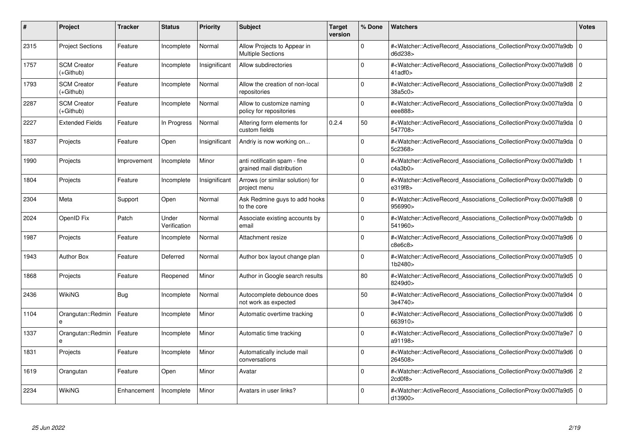| #    | Project                         | <b>Tracker</b> | <b>Status</b>         | <b>Priority</b> | <b>Subject</b>                                            | <b>Target</b><br>version | % Done      | <b>Watchers</b>                                                                                                                                          | <b>Votes</b>   |
|------|---------------------------------|----------------|-----------------------|-----------------|-----------------------------------------------------------|--------------------------|-------------|----------------------------------------------------------------------------------------------------------------------------------------------------------|----------------|
| 2315 | <b>Project Sections</b>         | Feature        | Incomplete            | Normal          | Allow Projects to Appear in<br><b>Multiple Sections</b>   |                          | $\Omega$    | # <watcher::activerecord associations="" collectionproxy:0x007fa9db<br="">d6d238&gt;</watcher::activerecord>                                             | $\Omega$       |
| 1757 | <b>SCM Creator</b><br>(+Github) | Feature        | Incomplete            | Insignificant   | Allow subdirectories                                      |                          | $\Omega$    | # <watcher::activerecord 0<br="" associations="" collectionproxy:0x007fa9d8=""  =""><math>41</math>adf<math>0</math></watcher::activerecord>             |                |
| 1793 | <b>SCM Creator</b><br>(+Github) | Feature        | Incomplete            | Normal          | Allow the creation of non-local<br>repositories           |                          | $\Omega$    | # <watcher::activerecord_associations_collectionproxy:0x007fa9d8<br>38a5c0&gt;</watcher::activerecord_associations_collectionproxy:0x007fa9d8<br>        | $\overline{2}$ |
| 2287 | <b>SCM Creator</b><br>(+Github) | Feature        | Incomplete            | Normal          | Allow to customize naming<br>policy for repositories      |                          | $\Omega$    | # <watcher::activerecord_associations_collectionproxy:0x007fa9da 0<br="">eee888&gt;</watcher::activerecord_associations_collectionproxy:0x007fa9da>      |                |
| 2227 | <b>Extended Fields</b>          | Feature        | In Progress           | Normal          | Altering form elements for<br>custom fields               | 0.2.4                    | 50          | # <watcher::activerecord_associations_collectionproxy:0x007fa9da<br>547708&gt;</watcher::activerecord_associations_collectionproxy:0x007fa9da<br>        | l 0            |
| 1837 | Projects                        | Feature        | Open                  | Insignificant   | Andriy is now working on                                  |                          | $\Omega$    | # <watcher::activerecord_associations_collectionproxy:0x007fa9da 0<br=""  ="">5c2368&gt;</watcher::activerecord_associations_collectionproxy:0x007fa9da> |                |
| 1990 | Projects                        | Improvement    | Incomplete            | Minor           | anti notificatin spam - fine<br>grained mail distribution |                          | $\Omega$    | # <watcher::activerecord associations="" collectionproxy:0x007fa9db<br="">c4a3b0z</watcher::activerecord>                                                |                |
| 1804 | Projects                        | Feature        | Incomplete            | Insignificant   | Arrows (or similar solution) for<br>project menu          |                          | $\Omega$    | # <watcher::activerecord_associations_collectionproxy:0x007fa9db 0<br=""  ="">e319f8&gt;</watcher::activerecord_associations_collectionproxy:0x007fa9db> |                |
| 2304 | Meta                            | Support        | Open                  | Normal          | Ask Redmine guys to add hooks<br>to the core              |                          | $\Omega$    | # <watcher::activerecord_associations_collectionproxy:0x007fa9d8<br>956990&gt;</watcher::activerecord_associations_collectionproxy:0x007fa9d8<br>        | l 0            |
| 2024 | OpenID Fix                      | Patch          | Under<br>Verification | Normal          | Associate existing accounts by<br>email                   |                          | $\Omega$    | # <watcher::activerecord 0<br="" associations="" collectionproxy:0x007fa9db=""  ="">541960&gt;</watcher::activerecord>                                   |                |
| 1987 | Projects                        | Feature        | Incomplete            | Normal          | Attachment resize                                         |                          | $\Omega$    | # <watcher::activerecord_associations_collectionproxy:0x007fa9d6 0<br="">c8e6c8</watcher::activerecord_associations_collectionproxy:0x007fa9d6>          |                |
| 1943 | <b>Author Box</b>               | Feature        | Deferred              | Normal          | Author box layout change plan                             |                          | $\Omega$    | # <watcher::activerecord_associations_collectionproxy:0x007fa9d5 0<br=""  ="">1b2480&gt;</watcher::activerecord_associations_collectionproxy:0x007fa9d5> |                |
| 1868 | Projects                        | Feature        | Reopened              | Minor           | Author in Google search results                           |                          | 80          | # <watcher::activerecord 0<br="" associations="" collectionproxy:0x007fa9d5=""  ="">8249d0&gt;</watcher::activerecord>                                   |                |
| 2436 | <b>WikiNG</b>                   | Bug            | Incomplete            | Normal          | Autocomplete debounce does<br>not work as expected        |                          | 50          | # <watcher::activerecord_associations_collectionproxy:0x007fa9d4 0<br=""  ="">3e4740&gt;</watcher::activerecord_associations_collectionproxy:0x007fa9d4> |                |
| 1104 | Orangutan::Redmin               | Feature        | Incomplete            | Minor           | Automatic overtime tracking                               |                          | $\Omega$    | # <watcher::activerecord 0<br="" associations="" collectionproxy:0x007fa9d6=""  ="">663910&gt;</watcher::activerecord>                                   |                |
| 1337 | Orangutan::Redmin               | Feature        | Incomplete            | Minor           | Automatic time tracking                                   |                          | $\Omega$    | # <watcher::activerecord_associations_collectionproxy:0x007fa9e7 0<br=""  ="">a91198&gt;</watcher::activerecord_associations_collectionproxy:0x007fa9e7> |                |
| 1831 | Projects                        | Feature        | Incomplete            | Minor           | Automatically include mail<br>conversations               |                          | $\Omega$    | # <watcher::activerecord_associations_collectionproxy:0x007fa9d6 0<br=""  ="">264508&gt;</watcher::activerecord_associations_collectionproxy:0x007fa9d6> |                |
| 1619 | Orangutan                       | Feature        | Open                  | Minor           | Avatar                                                    |                          | $\mathbf 0$ | # <watcher::activerecord_associations_collectionproxy:0x007fa9d6 2<br="">2cd0f8&gt;</watcher::activerecord_associations_collectionproxy:0x007fa9d6>      |                |
| 2234 | <b>WikiNG</b>                   | Enhancement    | Incomplete            | Minor           | Avatars in user links?                                    |                          | $\Omega$    | # <watcher::activerecord_associations_collectionproxy:0x007fa9d5 0<br=""  ="">d13900&gt;</watcher::activerecord_associations_collectionproxy:0x007fa9d5> |                |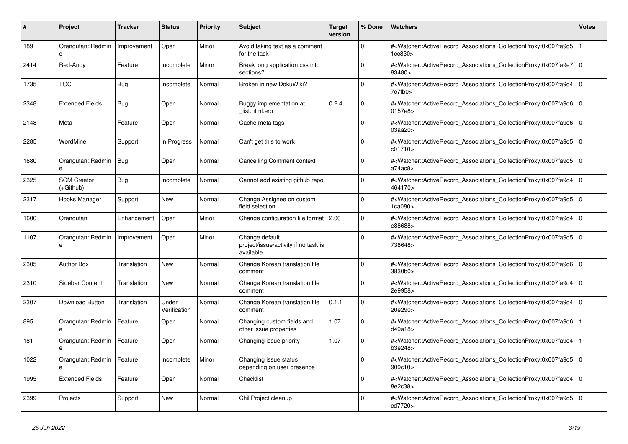| #    | <b>Project</b>                  | <b>Tracker</b> | <b>Status</b>         | <b>Priority</b> | <b>Subject</b>                                                      | <b>Target</b><br>version | % Done      | <b>Watchers</b>                                                                                                                                           | <b>Votes</b>   |
|------|---------------------------------|----------------|-----------------------|-----------------|---------------------------------------------------------------------|--------------------------|-------------|-----------------------------------------------------------------------------------------------------------------------------------------------------------|----------------|
| 189  | Orangutan::Redmin<br>e          | Improvement    | Open                  | Minor           | Avoid taking text as a comment<br>for the task                      |                          | $\Omega$    | # <watcher::activerecord_associations_collectionproxy:0x007fa9d5<br>1cc830&gt;</watcher::activerecord_associations_collectionproxy:0x007fa9d5<br>         |                |
| 2414 | Red-Andy                        | Feature        | Incomplete            | Minor           | Break long application.css into<br>sections?                        |                          | $\Omega$    | # <watcher::activerecord_associations_collectionproxy:0x007fa9e7f 0<br=""  ="">83480&gt;</watcher::activerecord_associations_collectionproxy:0x007fa9e7f> |                |
| 1735 | <b>TOC</b>                      | <b>Bug</b>     | Incomplete            | Normal          | Broken in new DokuWiki?                                             |                          | $\mathbf 0$ | # <watcher::activerecord_associations_collectionproxy:0x007fa9d4 0<br=""  ="">7c7fb0&gt;</watcher::activerecord_associations_collectionproxy:0x007fa9d4>  |                |
| 2348 | <b>Extended Fields</b>          | Bug            | Open                  | Normal          | Buggy implementation at<br>list.html.erb                            | 0.2.4                    | $\Omega$    | # <watcher::activerecord_associations_collectionproxy:0x007fa9d6 0<br=""  ="">0157e8&gt;</watcher::activerecord_associations_collectionproxy:0x007fa9d6>  |                |
| 2148 | Meta                            | Feature        | Open                  | Normal          | Cache meta tags                                                     |                          | $\Omega$    | # <watcher::activerecord_associations_collectionproxy:0x007fa9d6 0<br="">03aa20&gt;</watcher::activerecord_associations_collectionproxy:0x007fa9d6>       |                |
| 2285 | WordMine                        | Support        | In Progress           | Normal          | Can't get this to work                                              |                          | $\mathbf 0$ | # <watcher::activerecord_associations_collectionproxy:0x007fa9d5 0<br=""  ="">c01710</watcher::activerecord_associations_collectionproxy:0x007fa9d5>      |                |
| 1680 | Orangutan::Redmin               | Bug            | Open                  | Normal          | <b>Cancelling Comment context</b>                                   |                          | $\Omega$    | # <watcher::activerecord_associations_collectionproxy:0x007fa9d5<br>a74ac8</watcher::activerecord_associations_collectionproxy:0x007fa9d5<br>             | $\overline{0}$ |
| 2325 | <b>SCM Creator</b><br>(+Github) | Bug            | Incomplete            | Normal          | Cannot add existing github repo                                     |                          | $\Omega$    | # <watcher::activerecord 0<br="" associations="" collectionproxy:0x007fa9d4=""  ="">464170&gt;</watcher::activerecord>                                    |                |
| 2317 | Hooks Manager                   | Support        | New                   | Normal          | Change Assignee on custom<br>field selection                        |                          | $\Omega$    | # <watcher::activerecord 0<br="" associations="" collectionproxy:0x007fa9d5=""  ="">1ca080&gt;</watcher::activerecord>                                    |                |
| 1600 | Orangutan                       | Enhancement    | Open                  | Minor           | Change configuration file format   2.00                             |                          | $\Omega$    | # <watcher::activerecord_associations_collectionproxy:0x007fa9d4 0<br=""  ="">e88688&gt;</watcher::activerecord_associations_collectionproxy:0x007fa9d4>  |                |
| 1107 | Orangutan::Redmin<br>e          | Improvement    | Open                  | Minor           | Change default<br>project/issue/activity if no task is<br>available |                          | $\mathbf 0$ | # <watcher::activerecord_associations_collectionproxy:0x007fa9d5 0<br=""  ="">738648&gt;</watcher::activerecord_associations_collectionproxy:0x007fa9d5>  |                |
| 2305 | <b>Author Box</b>               | Translation    | New                   | Normal          | Change Korean translation file<br>comment                           |                          | $\Omega$    | # <watcher::activerecord 0<br="" associations="" collectionproxy:0x007fa9d6=""  ="">3830b0&gt;</watcher::activerecord>                                    |                |
| 2310 | Sidebar Content                 | Translation    | <b>New</b>            | Normal          | Change Korean translation file<br>comment                           |                          | $\mathbf 0$ | # <watcher::activerecord associations="" collectionproxy:0x007fa9d4<br="">2e9958&gt;</watcher::activerecord>                                              | $\overline{0}$ |
| 2307 | <b>Download Button</b>          | Translation    | Under<br>Verification | Normal          | Change Korean translation file<br>comment                           | 0.1.1                    | $\Omega$    | # <watcher::activerecord_associations_collectionproxy:0x007fa9d4 0<br=""  ="">20e290&gt;</watcher::activerecord_associations_collectionproxy:0x007fa9d4>  |                |
| 895  | Orangutan::Redmin<br>e          | Feature        | Open                  | Normal          | Changing custom fields and<br>other issue properties                | 1.07                     | $\Omega$    | # <watcher::activerecord associations="" collectionproxy:0x007fa9d6<br="">d49a18&gt;</watcher::activerecord>                                              |                |
| 181  | Orangutan::Redmin<br>e          | Feature        | Open                  | Normal          | Changing issue priority                                             | 1.07                     | $\mathbf 0$ | # <watcher::activerecord associations="" collectionproxy:0x007fa9d4<br="">b3e248&gt;</watcher::activerecord>                                              |                |
| 1022 | Orangutan::Redmin               | Feature        | Incomplete            | Minor           | Changing issue status<br>depending on user presence                 |                          | $\Omega$    | # <watcher::activerecord_associations_collectionproxy:0x007fa9d5 0<br=""  ="">909c10</watcher::activerecord_associations_collectionproxy:0x007fa9d5>      |                |
| 1995 | <b>Extended Fields</b>          | Feature        | Open                  | Normal          | Checklist                                                           |                          | $\Omega$    | # <watcher::activerecord_associations_collectionproxy:0x007fa9d4 0<br=""  ="">8e2c38&gt;</watcher::activerecord_associations_collectionproxy:0x007fa9d4>  |                |
| 2399 | Projects                        | Support        | <b>New</b>            | Normal          | ChiliProject cleanup                                                |                          | $\Omega$    | # <watcher::activerecord_associations_collectionproxy:0x007fa9d5 0<br=""  ="">cd7720&gt;</watcher::activerecord_associations_collectionproxy:0x007fa9d5>  |                |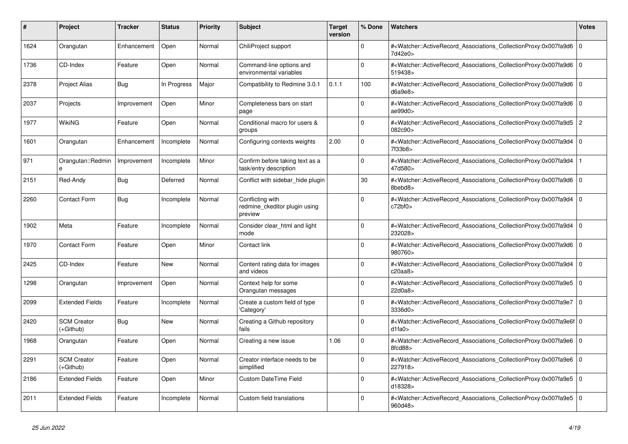| #    | <b>Project</b>                    | <b>Tracker</b> | <b>Status</b> | <b>Priority</b> | <b>Subject</b>                                               | <b>Target</b><br>version | % Done      | <b>Watchers</b>                                                                                                                                          | <b>Votes</b>   |
|------|-----------------------------------|----------------|---------------|-----------------|--------------------------------------------------------------|--------------------------|-------------|----------------------------------------------------------------------------------------------------------------------------------------------------------|----------------|
| 1624 | Orangutan                         | Enhancement    | Open          | Normal          | ChiliProject support                                         |                          | $\Omega$    | # <watcher::activerecord_associations_collectionproxy:0x007fa9d6<br>7d42e0&gt;</watcher::activerecord_associations_collectionproxy:0x007fa9d6<br>        | $\overline{0}$ |
| 1736 | CD-Index                          | Feature        | Open          | Normal          | Command-line options and<br>environmental variables          |                          | $\Omega$    | # <watcher::activerecord_associations_collectionproxy:0x007fa9d6 0<br="">519438&gt;</watcher::activerecord_associations_collectionproxy:0x007fa9d6>      |                |
| 2378 | <b>Project Alias</b>              | Bug            | In Progress   | Major           | Compatibility to Redmine 3.0.1                               | 0.1.1                    | 100         | # <watcher::activerecord_associations_collectionproxy:0x007fa9d6 0<br="">d6a9e8</watcher::activerecord_associations_collectionproxy:0x007fa9d6>          |                |
| 2037 | Projects                          | Improvement    | Open          | Minor           | Completeness bars on start<br>page                           |                          | $\Omega$    | # <watcher::activerecord_associations_collectionproxy:0x007fa9d6<br>ae99d0&gt;</watcher::activerecord_associations_collectionproxy:0x007fa9d6<br>        | 0              |
| 1977 | WikiNG                            | Feature        | Open          | Normal          | Conditional macro for users &<br>groups                      |                          | $\mathbf 0$ | # <watcher::activerecord_associations_collectionproxy:0x007fa9d5 2<br="">082c90&gt;</watcher::activerecord_associations_collectionproxy:0x007fa9d5>      |                |
| 1601 | Orangutan                         | Enhancement    | Incomplete    | Normal          | Configuring contexts weights                                 | 2.00                     | $\Omega$    | # <watcher::activerecord 0<br="" associations="" collectionproxy:0x007fa9d4=""  ="">7f33b8&gt;</watcher::activerecord>                                   |                |
| 971  | Orangutan::Redmin<br>$\mathbf{a}$ | Improvement    | Incomplete    | Minor           | Confirm before taking text as a<br>task/entry description    |                          | $\Omega$    | # <watcher::activerecord associations="" collectionproxy:0x007fa9d4<br="">47d580&gt;</watcher::activerecord>                                             |                |
| 2151 | Red-Andy                          | Bug            | Deferred      | Normal          | Conflict with sidebar_hide plugin                            |                          | 30          | # <watcher::activerecord_associations_collectionproxy:0x007fa9d6 0<br=""  ="">8bebd8&gt;</watcher::activerecord_associations_collectionproxy:0x007fa9d6> |                |
| 2260 | <b>Contact Form</b>               | Bug            | Incomplete    | Normal          | Conflicting with<br>redmine ckeditor plugin using<br>preview |                          | $\Omega$    | # <watcher::activerecord 0<br="" associations="" collectionproxy:0x007fa9d4=""  ="">c72bf0</watcher::activerecord>                                       |                |
| 1902 | Meta                              | Feature        | Incomplete    | Normal          | Consider clear html and light<br>mode                        |                          | $\Omega$    | # <watcher::activerecord_associations_collectionproxy:0x007fa9d4<br>232028&gt;</watcher::activerecord_associations_collectionproxy:0x007fa9d4<br>        | l 0            |
| 1970 | <b>Contact Form</b>               | Feature        | Open          | Minor           | Contact link                                                 |                          | $\Omega$    | # <watcher::activerecord 0<br="" associations="" collectionproxy:0x007fa9d6=""  ="">980760&gt;</watcher::activerecord>                                   |                |
| 2425 | CD-Index                          | Feature        | <b>New</b>    | Normal          | Content rating data for images<br>and videos                 |                          | $\Omega$    | # <watcher::activerecord 0<br="" associations="" collectionproxy:0x007fa9d4=""  ="">c20aa8</watcher::activerecord>                                       |                |
| 1298 | Orangutan                         | Improvement    | Open          | Normal          | Context help for some<br>Orangutan messages                  |                          | 0           | # <watcher::activerecord_associations_collectionproxy:0x007fa9e5 0<br=""  ="">22d0a8&gt;</watcher::activerecord_associations_collectionproxy:0x007fa9e5> |                |
| 2099 | <b>Extended Fields</b>            | Feature        | Incomplete    | Normal          | Create a custom field of type<br>'Category'                  |                          | $\Omega$    | # <watcher::activerecord_associations_collectionproxy:0x007fa9e7 0<br=""  ="">3336d0&gt;</watcher::activerecord_associations_collectionproxy:0x007fa9e7> |                |
| 2420 | <b>SCM Creator</b><br>(+Github)   | Bug            | <b>New</b>    | Normal          | Creating a Github repository<br>fails                        |                          | $\Omega$    | # <watcher::activerecord 0<br="" associations="" collectionproxy:0x007fa9e6f=""  ="">d1fa0&gt;</watcher::activerecord>                                   |                |
| 1968 | Orangutan                         | Feature        | Open          | Normal          | Creating a new issue                                         | 1.06                     | $\mathbf 0$ | # <watcher::activerecord_associations_collectionproxy:0x007fa9e6 0<br=""  ="">8fcd88&gt;</watcher::activerecord_associations_collectionproxy:0x007fa9e6> |                |
| 2291 | <b>SCM Creator</b><br>(+Github)   | Feature        | Open          | Normal          | Creator interface needs to be<br>simplified                  |                          | $\Omega$    | # <watcher::activerecord 0<br="" associations="" collectionproxy:0x007fa9e6=""  ="">227918&gt;</watcher::activerecord>                                   |                |
| 2186 | <b>Extended Fields</b>            | Feature        | Open          | Minor           | <b>Custom DateTime Field</b>                                 |                          | $\Omega$    | # <watcher::activerecord associations="" collectionproxy:0x007fa9e5<br="">d18328&gt;</watcher::activerecord>                                             | l O            |
| 2011 | <b>Extended Fields</b>            | Feature        | Incomplete    | Normal          | Custom field translations                                    |                          | $\Omega$    | # <watcher::activerecord_associations_collectionproxy:0x007fa9e5 0<br=""  ="">960d48&gt;</watcher::activerecord_associations_collectionproxy:0x007fa9e5> |                |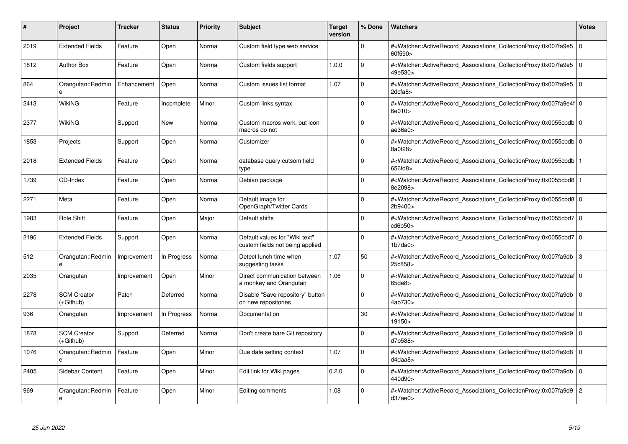| #    | <b>Project</b>                  | <b>Tracker</b> | <b>Status</b> | <b>Priority</b> | <b>Subject</b>                                                    | <b>Target</b><br>version | % Done      | <b>Watchers</b>                                                                                                                                           | <b>Votes</b> |
|------|---------------------------------|----------------|---------------|-----------------|-------------------------------------------------------------------|--------------------------|-------------|-----------------------------------------------------------------------------------------------------------------------------------------------------------|--------------|
| 2019 | <b>Extended Fields</b>          | Feature        | Open          | Normal          | Custom field type web service                                     |                          | $\Omega$    | # <watcher::activerecord_associations_collectionproxy:0x007fa9e5<br>60f590&gt;</watcher::activerecord_associations_collectionproxy:0x007fa9e5<br>         | l 0          |
| 1812 | <b>Author Box</b>               | Feature        | Open          | Normal          | Custom fields support                                             | 1.0.0                    | $\Omega$    | # <watcher::activerecord 0<br="" associations="" collectionproxy:0x007fa9e5=""  ="">49e530&gt;</watcher::activerecord>                                    |              |
| 864  | Orangutan::Redmin<br>e          | Enhancement    | Open          | Normal          | Custom issues list format                                         | 1.07                     | $\mathbf 0$ | # <watcher::activerecord_associations_collectionproxy:0x007fa9e5<br>2dcfa8</watcher::activerecord_associations_collectionproxy:0x007fa9e5<br>             | l 0          |
| 2413 | WikiNG                          | Feature        | Incomplete    | Minor           | Custom links syntax                                               |                          | $\Omega$    | # <watcher::activerecord_associations_collectionproxy:0x007fa9e4f 0<br="">6e010&gt;</watcher::activerecord_associations_collectionproxy:0x007fa9e4f>      |              |
| 2377 | WikiNG                          | Support        | New           | Normal          | Custom macros work, but icon<br>macros do not                     |                          | $\Omega$    | # <watcher::activerecord 0<br="" associations="" collectionproxy:0x0055cbdb=""  ="">ae36a0&gt;</watcher::activerecord>                                    |              |
| 1853 | Projects                        | Support        | Open          | Normal          | Customizer                                                        |                          | $\Omega$    | # <watcher::activerecord 0<br="" associations="" collectionproxy:0x0055cbdb=""  ="">8a0f28&gt;</watcher::activerecord>                                    |              |
| 2018 | <b>Extended Fields</b>          | Feature        | Open          | Normal          | database query cutsom field<br>type                               |                          | $\Omega$    | # <watcher::activerecord_associations_collectionproxy:0x0055cbdb 1<br=""  ="">656fd8&gt;</watcher::activerecord_associations_collectionproxy:0x0055cbdb>  |              |
| 1739 | CD-Index                        | Feature        | Open          | Normal          | Debian package                                                    |                          | $\Omega$    | # <watcher::activerecord_associations_collectionproxy:0x0055cbd8 1<br=""  ="">8e2098&gt;</watcher::activerecord_associations_collectionproxy:0x0055cbd8>  |              |
| 2271 | Meta                            | Feature        | Open          | Normal          | Default image for<br>OpenGraph/Twitter Cards                      |                          | $\Omega$    | # <watcher::activerecord 0<br="" associations="" collectionproxy:0x0055cbd8="">2b9400&gt;</watcher::activerecord>                                         |              |
| 1983 | Role Shift                      | Feature        | Open          | Major           | Default shifts                                                    |                          | $\mathbf 0$ | # <watcher::activerecord 0<br="" associations="" collectionproxy:0x0055cbd7=""  ="">cd6b50&gt;</watcher::activerecord>                                    |              |
| 2196 | <b>Extended Fields</b>          | Support        | Open          | Normal          | Default values for "Wiki text"<br>custom fields not being applied |                          | $\Omega$    | # <watcher::activerecord_associations_collectionproxy:0x0055cbd7 0<br=""  ="">1b7da0</watcher::activerecord_associations_collectionproxy:0x0055cbd7>      |              |
| 512  | Orangutan::Redmin<br>e          | Improvement    | In Progress   | Normal          | Detect lunch time when<br>suggesting tasks                        | 1.07                     | 50          | # <watcher::activerecord_associations_collectionproxy:0x007fa9db 3<br="">25c858&gt;</watcher::activerecord_associations_collectionproxy:0x007fa9db>       |              |
| 2035 | Orangutan                       | Improvement    | Open          | Minor           | Direct communication between<br>a monkey and Orangutan            | 1.06                     | 0           | # <watcher::activerecord 0<br="" associations="" collectionproxy:0x007fa9daf=""  =""><math>65</math>de<math>8</math></watcher::activerecord>              |              |
| 2278 | <b>SCM Creator</b><br>(+Github) | Patch          | Deferred      | Normal          | Disable "Save repository" button<br>on new repositories           |                          | $\mathbf 0$ | # <watcher::activerecord_associations_collectionproxy:0x007fa9db 0<br="">4ab730&gt;</watcher::activerecord_associations_collectionproxy:0x007fa9db>       |              |
| 936  | Orangutan                       | Improvement    | In Progress   | Normal          | Documentation                                                     |                          | 30          | # <watcher::activerecord_associations_collectionproxy:0x007fa9daf 0<br=""  ="">19150&gt;</watcher::activerecord_associations_collectionproxy:0x007fa9daf> |              |
| 1878 | <b>SCM Creator</b><br>(+Github) | Support        | Deferred      | Normal          | Don't create bare GIt repository                                  |                          | $\Omega$    | # <watcher::activerecord associations="" collectionproxy:0x007fa9d9<br="">d7b588&gt;</watcher::activerecord>                                              | l 0          |
| 1076 | Orangutan::Redmin<br>e          | Feature        | Open          | Minor           | Due date setting context                                          | 1.07                     | $\mathbf 0$ | # <watcher::activerecord 0<br="" associations="" collectionproxy:0x007fa9d8=""  ="">d4daa8</watcher::activerecord>                                        |              |
| 2405 | Sidebar Content                 | Feature        | Open          | Minor           | Edit link for Wiki pages                                          | 0.2.0                    | $\mathbf 0$ | # <watcher::activerecord associations="" collectionproxy:0x007fa9db<br="">440d90&gt;</watcher::activerecord>                                              | l 0          |
| 969  | Orangutan::Redmin<br>e          | Feature        | Open          | Minor           | Editing comments                                                  | 1.08                     | $\Omega$    | # <watcher::activerecord_associations_collectionproxy:0x007fa9d9<br>d37ae0&gt;</watcher::activerecord_associations_collectionproxy:0x007fa9d9<br>         | 2            |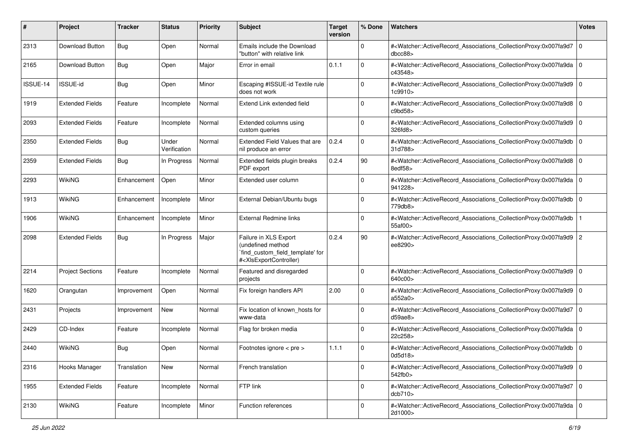| #        | Project                 | <b>Tracker</b> | <b>Status</b>         | <b>Priority</b> | <b>Subject</b>                                                                                                                                                                                                                                                                                                                         | <b>Target</b><br>version | % Done      | Watchers                                                                                                                                                 | <b>Votes</b> |
|----------|-------------------------|----------------|-----------------------|-----------------|----------------------------------------------------------------------------------------------------------------------------------------------------------------------------------------------------------------------------------------------------------------------------------------------------------------------------------------|--------------------------|-------------|----------------------------------------------------------------------------------------------------------------------------------------------------------|--------------|
| 2313     | Download Button         | <b>Bug</b>     | Open                  | Normal          | Emails include the Download<br>"button" with relative link                                                                                                                                                                                                                                                                             |                          | 0           | # <watcher::activerecord_associations_collectionproxy:0x007fa9d7<br>dbcc88</watcher::activerecord_associations_collectionproxy:0x007fa9d7<br>            | l O          |
| 2165     | Download Button         | <b>Bug</b>     | Open                  | Major           | Error in email                                                                                                                                                                                                                                                                                                                         | 0.1.1                    | $\Omega$    | # <watcher::activerecord_associations_collectionproxy:0x007fa9da 0<br=""  ="">c43548&gt;</watcher::activerecord_associations_collectionproxy:0x007fa9da> |              |
| ISSUE-14 | ISSUE-id                | <b>Bug</b>     | Open                  | Minor           | Escaping #ISSUE-id Textile rule<br>does not work                                                                                                                                                                                                                                                                                       |                          | $\Omega$    | # <watcher::activerecord_associations_collectionproxy:0x007fa9d9 0<br=""  ="">1c9910&gt;</watcher::activerecord_associations_collectionproxy:0x007fa9d9> |              |
| 1919     | <b>Extended Fields</b>  | Feature        | Incomplete            | Normal          | Extend Link extended field                                                                                                                                                                                                                                                                                                             |                          | $\Omega$    | # <watcher::activerecord 0<br="" associations="" collectionproxy:0x007fa9d8="">c9bd58</watcher::activerecord>                                            |              |
| 2093     | <b>Extended Fields</b>  | Feature        | Incomplete            | Normal          | Extended columns using<br>custom queries                                                                                                                                                                                                                                                                                               |                          | $\Omega$    | # <watcher::activerecord_associations_collectionproxy:0x007fa9d9 0<br=""  ="">326fd8&gt;</watcher::activerecord_associations_collectionproxy:0x007fa9d9> |              |
| 2350     | <b>Extended Fields</b>  | <b>Bug</b>     | Under<br>Verification | Normal          | Extended Field Values that are<br>nil produce an error                                                                                                                                                                                                                                                                                 | 0.2.4                    | $\Omega$    | # <watcher::activerecord_associations_collectionproxy:0x007fa9db<br>31d788&gt;</watcher::activerecord_associations_collectionproxy:0x007fa9db<br>        | l O          |
| 2359     | <b>Extended Fields</b>  | <b>Bug</b>     | In Progress           | Normal          | Extended fields plugin breaks<br>PDF export                                                                                                                                                                                                                                                                                            | 0.2.4                    | 90          | # <watcher::activerecord_associations_collectionproxy:0x007fa9d8 0<br=""  ="">8edf58&gt;</watcher::activerecord_associations_collectionproxy:0x007fa9d8> |              |
| 2293     | <b>WikiNG</b>           | Enhancement    | Open                  | Minor           | Extended user column                                                                                                                                                                                                                                                                                                                   |                          | $\Omega$    | # <watcher::activerecord_associations_collectionproxy:0x007fa9da 0<br=""  ="">941228&gt;</watcher::activerecord_associations_collectionproxy:0x007fa9da> |              |
| 1913     | <b>WikiNG</b>           | Enhancement    | Incomplete            | Minor           | External Debian/Ubuntu bugs                                                                                                                                                                                                                                                                                                            |                          | $\Omega$    | # <watcher::activerecord_associations_collectionproxy:0x007fa9db 0<br="">779db8&gt;</watcher::activerecord_associations_collectionproxy:0x007fa9db>      |              |
| 1906     | <b>WikiNG</b>           | Enhancement    | Incomplete            | Minor           | <b>External Redmine links</b>                                                                                                                                                                                                                                                                                                          |                          | $\Omega$    | # <watcher::activerecord associations="" collectionproxy:0x007fa9db<br="">55af00&gt;</watcher::activerecord>                                             |              |
| 2098     | <b>Extended Fields</b>  | <b>Bug</b>     | In Progress           | Major           | Failure in XLS Export<br>(undefined method<br>`find_custom_field_template' for<br># <xisexportcontroller)< td=""><td>0.2.4</td><td>90</td><td>#<watcher::activerecord_associations_collectionproxy:0x007fa9d9 2<br="">ee8290&gt;</watcher::activerecord_associations_collectionproxy:0x007fa9d9></td><td></td></xisexportcontroller)<> | 0.2.4                    | 90          | # <watcher::activerecord_associations_collectionproxy:0x007fa9d9 2<br="">ee8290&gt;</watcher::activerecord_associations_collectionproxy:0x007fa9d9>      |              |
| 2214     | <b>Project Sections</b> | Feature        | Incomplete            | Normal          | Featured and disregarded<br>projects                                                                                                                                                                                                                                                                                                   |                          | $\Omega$    | # <watcher::activerecord_associations_collectionproxy:0x007fa9d9 0<br=""  ="">640c00&gt;</watcher::activerecord_associations_collectionproxy:0x007fa9d9> |              |
| 1620     | Orangutan               | Improvement    | Open                  | Normal          | Fix foreign handlers API                                                                                                                                                                                                                                                                                                               | 2.00                     | $\Omega$    | # <watcher::activerecord_associations_collectionproxy:0x007fa9d9 0<br="">a552a0&gt;</watcher::activerecord_associations_collectionproxy:0x007fa9d9>      |              |
| 2431     | Projects                | Improvement    | New                   | Normal          | Fix location of known hosts for<br>www-data                                                                                                                                                                                                                                                                                            |                          | $\Omega$    | # <watcher::activerecord_associations_collectionproxy:0x007fa9d7 0<br=""  ="">d59ae8</watcher::activerecord_associations_collectionproxy:0x007fa9d7>     |              |
| 2429     | CD-Index                | Feature        | Incomplete            | Normal          | Flag for broken media                                                                                                                                                                                                                                                                                                                  |                          | $\Omega$    | # <watcher::activerecord_associations_collectionproxy:0x007fa9da 0<br=""  ="">22c258&gt;</watcher::activerecord_associations_collectionproxy:0x007fa9da> |              |
| 2440     | <b>WikiNG</b>           | <b>Bug</b>     | Open                  | Normal          | Footnotes ignore < pre >                                                                                                                                                                                                                                                                                                               | 1.1.1                    | $\Omega$    | # <watcher::activerecord_associations_collectionproxy:0x007fa9db 0<br="">0d5d18&gt;</watcher::activerecord_associations_collectionproxy:0x007fa9db>      |              |
| 2316     | Hooks Manager           | Translation    | New                   | Normal          | French translation                                                                                                                                                                                                                                                                                                                     |                          | $\mathbf 0$ | # <watcher::activerecord_associations_collectionproxy:0x007fa9d9 0<br=""  ="">542fb0&gt;</watcher::activerecord_associations_collectionproxy:0x007fa9d9> |              |
| 1955     | <b>Extended Fields</b>  | Feature        | Incomplete            | Normal          | FTP link                                                                                                                                                                                                                                                                                                                               |                          | $\Omega$    | # <watcher::activerecord_associations_collectionproxy:0x007fa9d7 0<br="">dcb710&gt;</watcher::activerecord_associations_collectionproxy:0x007fa9d7>      |              |
| 2130     | WikiNG                  | Feature        | Incomplete            | Minor           | Function references                                                                                                                                                                                                                                                                                                                    |                          | $\Omega$    | # <watcher::activerecord_associations_collectionproxy:0x007fa9da 0<br=""  ="">2d1000&gt;</watcher::activerecord_associations_collectionproxy:0x007fa9da> |              |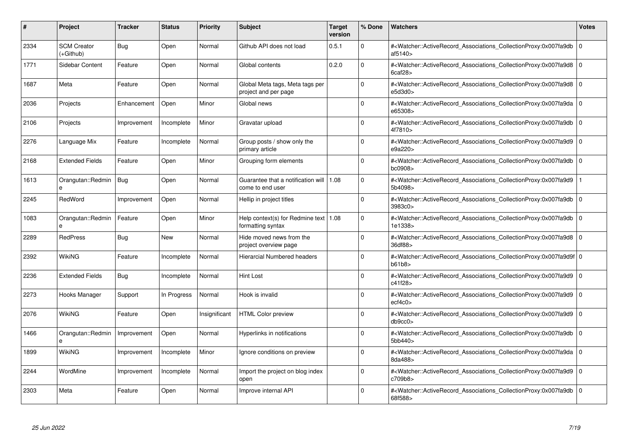| #    | Project                         | Tracker     | <b>Status</b> | <b>Priority</b> | <b>Subject</b>                                                | <b>Target</b><br>version | % Done   | <b>Watchers</b>                                                                                                                                          | <b>Votes</b> |
|------|---------------------------------|-------------|---------------|-----------------|---------------------------------------------------------------|--------------------------|----------|----------------------------------------------------------------------------------------------------------------------------------------------------------|--------------|
| 2334 | <b>SCM Creator</b><br>(+Github) | Bug         | Open          | Normal          | Github API does not load                                      | 0.5.1                    | $\Omega$ | # <watcher::activerecord associations="" collectionproxy:0x007fa9db<br="">af5140&gt;</watcher::activerecord>                                             | $\mathbf 0$  |
| 1771 | Sidebar Content                 | Feature     | Open          | Normal          | Global contents                                               | 0.2.0                    | $\Omega$ | # <watcher::activerecord 0<br="" associations="" collectionproxy:0x007fa9d8=""  =""><math>6</math>caf<math>28</math></watcher::activerecord>             |              |
| 1687 | Meta                            | Feature     | Open          | Normal          | Global Meta tags, Meta tags per<br>project and per page       |                          | $\Omega$ | # <watcher::activerecord_associations_collectionproxy:0x007fa9d8  <br="">e5d3d0</watcher::activerecord_associations_collectionproxy:0x007fa9d8>          | $\Omega$     |
| 2036 | Projects                        | Enhancement | Open          | Minor           | Global news                                                   |                          | $\Omega$ | # <watcher::activerecord_associations_collectionproxy:0x007fa9da 0<br="">e65308&gt;</watcher::activerecord_associations_collectionproxy:0x007fa9da>      |              |
| 2106 | Projects                        | Improvement | Incomplete    | Minor           | Gravatar upload                                               |                          | $\Omega$ | # <watcher::activerecord_associations_collectionproxy:0x007fa9db  <br="">4f7810&gt;</watcher::activerecord_associations_collectionproxy:0x007fa9db>      | $\mathbf 0$  |
| 2276 | Language Mix                    | Feature     | Incomplete    | Normal          | Group posts / show only the<br>primary article                |                          | $\Omega$ | # <watcher::activerecord_associations_collectionproxy:0x007fa9d9 0<br="">e9a220&gt;</watcher::activerecord_associations_collectionproxy:0x007fa9d9>      |              |
| 2168 | <b>Extended Fields</b>          | Feature     | Open          | Minor           | Grouping form elements                                        |                          | $\Omega$ | # <watcher::activerecord associations="" collectionproxy:0x007fa9db<br="">bc0908</watcher::activerecord>                                                 | $\mathbf 0$  |
| 1613 | Orangutan::Redmin               | Bug         | Open          | Normal          | Guarantee that a notification will   1.08<br>come to end user |                          | $\Omega$ | # <watcher::activerecord_associations_collectionproxy:0x007fa9d9<br>5b4098&gt;</watcher::activerecord_associations_collectionproxy:0x007fa9d9<br>        |              |
| 2245 | RedWord                         | Improvement | Open          | Normal          | Hellip in project titles                                      |                          | $\Omega$ | # <watcher::activerecord associations="" collectionproxy:0x007fa9db<br="">3983c0&gt;</watcher::activerecord>                                             | $\Omega$     |
| 1083 | Orangutan::Redmin<br>e          | Feature     | Open          | Minor           | Help context(s) for Redmine text   1.08<br>formatting syntax  |                          | $\Omega$ | # <watcher::activerecord 0<br="" associations="" collectionproxy:0x007fa9db=""  ="">1e1338&gt;</watcher::activerecord>                                   |              |
| 2289 | <b>RedPress</b>                 | <b>Bug</b>  | <b>New</b>    | Normal          | Hide moved news from the<br>project overview page             |                          | $\Omega$ | # <watcher::activerecord_associations_collectionproxy:0x007fa9d8 0<br=""  ="">36df88&gt;</watcher::activerecord_associations_collectionproxy:0x007fa9d8> |              |
| 2392 | WikiNG                          | Feature     | Incomplete    | Normal          | <b>Hierarcial Numbered headers</b>                            |                          | $\Omega$ | # <watcher::activerecord 0<br="" associations="" collectionproxy:0x007fa9d9f=""  ="">b61b8</watcher::activerecord>                                       |              |
| 2236 | <b>Extended Fields</b>          | Bug         | Incomplete    | Normal          | <b>Hint Lost</b>                                              |                          | $\Omega$ | # <watcher::activerecord 0<br="" associations="" collectionproxy:0x007fa9d9=""  ="">c41f28&gt;</watcher::activerecord>                                   |              |
| 2273 | Hooks Manager                   | Support     | In Progress   | Normal          | Hook is invalid                                               |                          | $\Omega$ | # <watcher::activerecord_associations_collectionproxy:0x007fa9d9  <br="">ect4c0&gt;</watcher::activerecord_associations_collectionproxy:0x007fa9d9>      | $\Omega$     |
| 2076 | WikiNG                          | Feature     | Open          | Insignificant   | <b>HTML Color preview</b>                                     |                          | $\Omega$ | # <watcher::activerecord 0<br="" associations="" collectionproxy:0x007fa9d9=""  ="">db9cc0</watcher::activerecord>                                       |              |
| 1466 | Orangutan::Redmin<br>e          | Improvement | Open          | Normal          | Hyperlinks in notifications                                   |                          | $\Omega$ | # <watcher::activerecord_associations_collectionproxy:0x007fa9db 0<br=""  ="">5bb440&gt;</watcher::activerecord_associations_collectionproxy:0x007fa9db> |              |
| 1899 | WikiNG                          | Improvement | Incomplete    | Minor           | Ignore conditions on preview                                  |                          | $\Omega$ | # <watcher::activerecord_associations_collectionproxy:0x007fa9da 0<br=""  ="">8da488&gt;</watcher::activerecord_associations_collectionproxy:0x007fa9da> |              |
| 2244 | WordMine                        | Improvement | Incomplete    | Normal          | Import the project on blog index<br>open                      |                          | $\Omega$ | # <watcher::activerecord associations="" collectionproxy:0x007fa9d9=""  <br="">c709b8&gt;</watcher::activerecord>                                        | $\mathbf 0$  |
| 2303 | Meta                            | Feature     | Open          | Normal          | Improve internal API                                          |                          | $\Omega$ | # <watcher::activerecord_associations_collectionproxy:0x007fa9db 0<br=""  ="">68f588&gt;</watcher::activerecord_associations_collectionproxy:0x007fa9db> |              |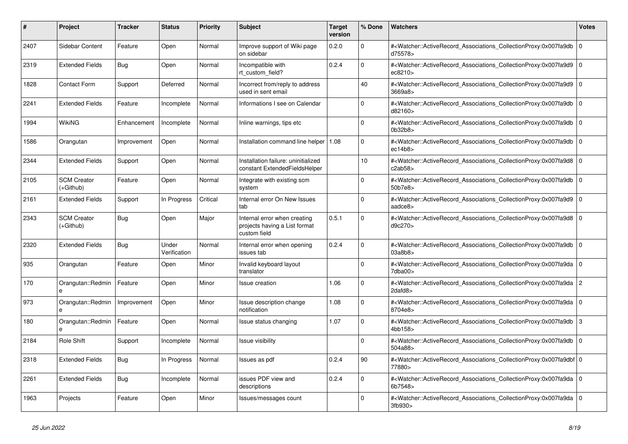| #    | <b>Project</b>                    | <b>Tracker</b> | <b>Status</b>         | <b>Priority</b> | <b>Subject</b>                                                                | <b>Target</b><br>version | % Done         | <b>Watchers</b>                                                                                                                                           | <b>Votes</b>   |
|------|-----------------------------------|----------------|-----------------------|-----------------|-------------------------------------------------------------------------------|--------------------------|----------------|-----------------------------------------------------------------------------------------------------------------------------------------------------------|----------------|
| 2407 | Sidebar Content                   | Feature        | Open                  | Normal          | Improve support of Wiki page<br>on sidebar                                    | 0.2.0                    | $\Omega$       | # <watcher::activerecord_associations_collectionproxy:0x007fa9db<br>d75578&gt;</watcher::activerecord_associations_collectionproxy:0x007fa9db<br>         | $\overline{0}$ |
| 2319 | <b>Extended Fields</b>            | Bug            | Open                  | Normal          | Incompatible with<br>rt_custom_field?                                         | 0.2.4                    | $\Omega$       | # <watcher::activerecord_associations_collectionproxy:0x007fa9d9 0<br="">ec8210&gt;</watcher::activerecord_associations_collectionproxy:0x007fa9d9>       |                |
| 1828 | <b>Contact Form</b>               | Support        | Deferred              | Normal          | Incorrect from/reply to address<br>used in sent email                         |                          | 40             | # <watcher::activerecord_associations_collectionproxy:0x007fa9d9 0<br=""  ="">3669a8&gt;</watcher::activerecord_associations_collectionproxy:0x007fa9d9>  |                |
| 2241 | <b>Extended Fields</b>            | Feature        | Incomplete            | Normal          | Informations I see on Calendar                                                |                          | $\Omega$       | # <watcher::activerecord_associations_collectionproxy:0x007fa9db<br>d82160&gt;</watcher::activerecord_associations_collectionproxy:0x007fa9db<br>         | $\Omega$       |
| 1994 | WikiNG                            | Enhancement    | Incomplete            | Normal          | Inline warnings, tips etc                                                     |                          | $\mathbf 0$    | # <watcher::activerecord_associations_collectionproxy:0x007fa9db 0<br=""  ="">0b32b8&gt;</watcher::activerecord_associations_collectionproxy:0x007fa9db>  |                |
| 1586 | Orangutan                         | Improvement    | Open                  | Normal          | Installation command line helper   1.08                                       |                          | $\Omega$       | # <watcher::activerecord_associations_collectionproxy:0x007fa9db 0<br=""  ="">ec14b8</watcher::activerecord_associations_collectionproxy:0x007fa9db>      |                |
| 2344 | <b>Extended Fields</b>            | Support        | Open                  | Normal          | Installation failure: uninitialized<br>constant ExtendedFieldsHelper          |                          | 10             | # <watcher::activerecord associations="" collectionproxy:0x007fa9d8<br="">c2ab58</watcher::activerecord>                                                  | $\Omega$       |
| 2105 | <b>SCM Creator</b><br>(+Github)   | Feature        | Open                  | Normal          | Integrate with existing scm<br>system                                         |                          | $\mathbf 0$    | # <watcher::activerecord_associations_collectionproxy:0x007fa9db 0<br=""  ="">50b7e8&gt;</watcher::activerecord_associations_collectionproxy:0x007fa9db>  |                |
| 2161 | <b>Extended Fields</b>            | Support        | In Progress           | Critical        | Internal error On New Issues<br>tab                                           |                          | $\Omega$       | # <watcher::activerecord_associations_collectionproxy:0x007fa9d9 0<br=""  ="">aadce8&gt;</watcher::activerecord_associations_collectionproxy:0x007fa9d9>  |                |
| 2343 | <b>SCM Creator</b><br>$(+Github)$ | Bug            | Open                  | Major           | Internal error when creating<br>projects having a List format<br>custom field | 0.5.1                    | $\overline{0}$ | # <watcher::activerecord_associations_collectionproxy:0x007fa9d8<br>d9c270&gt;</watcher::activerecord_associations_collectionproxy:0x007fa9d8<br>         | l 0            |
| 2320 | <b>Extended Fields</b>            | Bug            | Under<br>Verification | Normal          | Internal error when opening<br>issues tab                                     | 0.2.4                    | $\Omega$       | # <watcher::activerecord 0<br="" associations="" collectionproxy:0x007fa9db=""  ="">03a8b8</watcher::activerecord>                                        |                |
| 935  | Orangutan                         | Feature        | Open                  | Minor           | Invalid keyboard layout<br>translator                                         |                          | $\mathbf 0$    | # <watcher::activerecord 0<br="" associations="" collectionproxy:0x007fa9da=""  ="">7dba00&gt;</watcher::activerecord>                                    |                |
| 170  | Orangutan::Redmin<br>e            | Feature        | Open                  | Minor           | Issue creation                                                                | 1.06                     | $\mathbf 0$    | # <watcher::activerecord_associations_collectionproxy:0x007fa9da<br>2dafd8&gt;</watcher::activerecord_associations_collectionproxy:0x007fa9da<br>         | $\overline{2}$ |
| 973  | Orangutan::Redmin<br>e            | Improvement    | Open                  | Minor           | Issue description change<br>notification                                      | 1.08                     | $\Omega$       | # <watcher::activerecord_associations_collectionproxy:0x007fa9da 0<br=""  ="">8704e8&gt;</watcher::activerecord_associations_collectionproxy:0x007fa9da>  |                |
| 180  | Orangutan::Redmin<br>e            | Feature        | Open                  | Normal          | Issue status changing                                                         | 1.07                     | $\Omega$       | # <watcher::activerecord associations="" collectionproxy:0x007fa9db<br="">4bb158&gt;</watcher::activerecord>                                              | 3              |
| 2184 | <b>Role Shift</b>                 | Support        | Incomplete            | Normal          | Issue visibility                                                              |                          | $\mathbf 0$    | # <watcher::activerecord_associations_collectionproxy:0x007fa9db<br>504a88&gt;</watcher::activerecord_associations_collectionproxy:0x007fa9db<br>         | ١o             |
| 2318 | <b>Extended Fields</b>            | <b>Bug</b>     | In Progress           | Normal          | Issues as pdf                                                                 | 0.2.4                    | 90             | # <watcher::activerecord_associations_collectionproxy:0x007fa9dbf 0<br=""  ="">77880&gt;</watcher::activerecord_associations_collectionproxy:0x007fa9dbf> |                |
| 2261 | <b>Extended Fields</b>            | Bug            | Incomplete            | Normal          | issues PDF view and<br>descriptions                                           | 0.2.4                    | $\Omega$       | # <watcher::activerecord 0<br="" associations="" collectionproxy:0x007fa9da=""  ="">6b7548&gt;</watcher::activerecord>                                    |                |
| 1963 | Projects                          | Feature        | Open                  | Minor           | Issues/messages count                                                         |                          | $\Omega$       | # <watcher::activerecord_associations_collectionproxy:0x007fa9da 0<br=""  ="">3fb930&gt;</watcher::activerecord_associations_collectionproxy:0x007fa9da>  |                |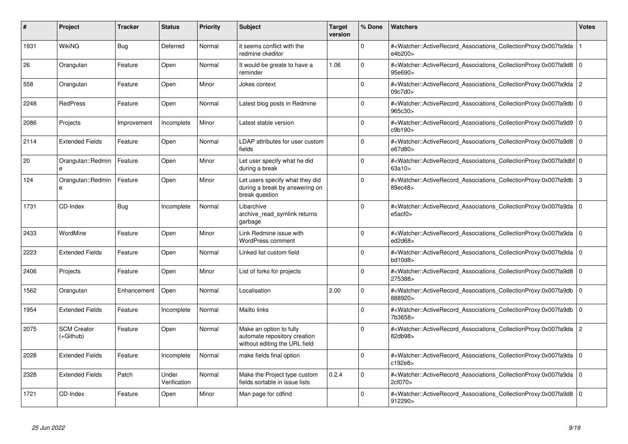| #    | Project                         | <b>Tracker</b> | <b>Status</b>         | <b>Priority</b> | <b>Subject</b>                                                                           | <b>Target</b><br>version | % Done   | <b>Watchers</b>                                                                                                                                            | <b>Votes</b> |
|------|---------------------------------|----------------|-----------------------|-----------------|------------------------------------------------------------------------------------------|--------------------------|----------|------------------------------------------------------------------------------------------------------------------------------------------------------------|--------------|
| 1931 | <b>WikiNG</b>                   | <b>Bug</b>     | Deferred              | Normal          | it seems conflict with the<br>redmine ckeditor                                           |                          | $\Omega$ | # <watcher::activerecord associations="" collectionproxy:0x007fa9da<br="">e4b200&gt;</watcher::activerecord>                                               |              |
| 26   | Orangutan                       | Feature        | Open                  | Normal          | It would be greate to have a<br>reminder                                                 | 1.06                     | $\Omega$ | # <watcher::activerecord_associations_collectionproxy:0x007fa9d8<br>95e690&gt;</watcher::activerecord_associations_collectionproxy:0x007fa9d8<br>          | l O          |
| 558  | Orangutan                       | Feature        | Open                  | Minor           | Jokes context                                                                            |                          | $\Omega$ | # <watcher::activerecord_associations_collectionproxy:0x007fa9da 2<br="">09c7d0&gt;</watcher::activerecord_associations_collectionproxy:0x007fa9da>        |              |
| 2248 | <b>RedPress</b>                 | Feature        | Open                  | Normal          | Latest blog posts in Redmine                                                             |                          | $\Omega$ | # <watcher::activerecord_associations_collectionproxy:0x007fa9db 0<br="">965c30&gt;</watcher::activerecord_associations_collectionproxy:0x007fa9db>        |              |
| 2086 | Projects                        | Improvement    | Incomplete            | Minor           | Latest stable version                                                                    |                          | $\Omega$ | # <watcher::activerecord_associations_collectionproxy:0x007fa9d9<br>c9b190&gt;</watcher::activerecord_associations_collectionproxy:0x007fa9d9<br>          | ١o           |
| 2114 | <b>Extended Fields</b>          | Feature        | Open                  | Normal          | LDAP attributes for user custom<br>fields                                                |                          | $\Omega$ | # <watcher::activerecord_associations_collectionproxy:0x007fa9d8<br>e67d80&gt;</watcher::activerecord_associations_collectionproxy:0x007fa9d8<br>          | l O          |
| 20   | Orangutan::Redmin               | Feature        | Open                  | Minor           | Let user specify what he did<br>during a break                                           |                          | $\Omega$ | # <watcher::activerecord_associations_collectionproxy:0x007fa9dbf 0<br=""  ="">63a10 &gt;</watcher::activerecord_associations_collectionproxy:0x007fa9dbf> |              |
| 124  | Orangutan::Redmin<br>e          | Feature        | Open                  | Minor           | Let users specify what they did<br>during a break by answering on<br>break question      |                          | $\Omega$ | # <watcher::activerecord_associations_collectionproxy:0x007fa9db<br>89ec48&gt;</watcher::activerecord_associations_collectionproxy:0x007fa9db<br>          | 3            |
| 1731 | CD-Index                        | Bug            | Incomplete            | Normal          | Libarchive<br>archive read symlink returns<br>garbage                                    |                          | $\Omega$ | # <watcher::activerecord_associations_collectionproxy:0x007fa9da 0<br=""  ="">e5acf0&gt;</watcher::activerecord_associations_collectionproxy:0x007fa9da>   |              |
| 2433 | WordMine                        | Feature        | Open                  | Minor           | Link Redmine issue with<br><b>WordPress comment</b>                                      |                          | $\Omega$ | # <watcher::activerecord 0<br="" associations="" collectionproxy:0x007fa9da=""  ="">ed2d68&gt;</watcher::activerecord>                                     |              |
| 2223 | <b>Extended Fields</b>          | Feature        | Open                  | Normal          | Linked list custom field                                                                 |                          | $\Omega$ | # <watcher::activerecord associations="" collectionproxy:0x007fa9da<br="">bd10d8&gt;</watcher::activerecord>                                               | l O          |
| 2406 | Projects                        | Feature        | Open                  | Minor           | List of forks for projects                                                               |                          | $\Omega$ | # <watcher::activerecord associations="" collectionproxy:0x007fa9d8<br="">275388&gt;</watcher::activerecord>                                               | l O          |
| 1562 | Orangutan                       | Enhancement    | Open                  | Normal          | Localisation                                                                             | 2.00                     | $\Omega$ | # <watcher::activerecord_associations_collectionproxy:0x007fa9db<br>888920&gt;</watcher::activerecord_associations_collectionproxy:0x007fa9db<br>          | l O          |
| 1954 | <b>Extended Fields</b>          | Feature        | Incomplete            | Normal          | Mailto links                                                                             |                          | $\Omega$ | # <watcher::activerecord_associations_collectionproxy:0x007fa9db 0<br=""  ="">7b3658&gt;</watcher::activerecord_associations_collectionproxy:0x007fa9db>   |              |
| 2075 | <b>SCM Creator</b><br>(+Github) | Feature        | Open                  | Normal          | Make an option to fully<br>automate repository creation<br>without editing the URL field |                          | $\Omega$ | # <watcher::activerecord_associations_collectionproxy:0x007fa9da 2<br=""  ="">82db98&gt;</watcher::activerecord_associations_collectionproxy:0x007fa9da>   |              |
| 2028 | <b>Extended Fields</b>          | Feature        | Incomplete            | Normal          | make fields final option                                                                 |                          | $\Omega$ | # <watcher::activerecord_associations_collectionproxy:0x007fa9da 0<br=""  ="">c192e8&gt;</watcher::activerecord_associations_collectionproxy:0x007fa9da>   |              |
| 2328 | <b>Extended Fields</b>          | Patch          | Under<br>Verification | Normal          | Make the Project type custom<br>fields sortable in issue lists                           | 0.2.4                    | $\Omega$ | # <watcher::activerecord_associations_collectionproxy:0x007fa9da<br>2cf070&gt;</watcher::activerecord_associations_collectionproxy:0x007fa9da<br>          | l O          |
| 1721 | CD-Index                        | Feature        | Open                  | Minor           | Man page for cdfind                                                                      |                          | $\Omega$ | # <watcher::activerecord_associations_collectionproxy:0x007fa9d8 0<br=""  ="">912290&gt;</watcher::activerecord_associations_collectionproxy:0x007fa9d8>   |              |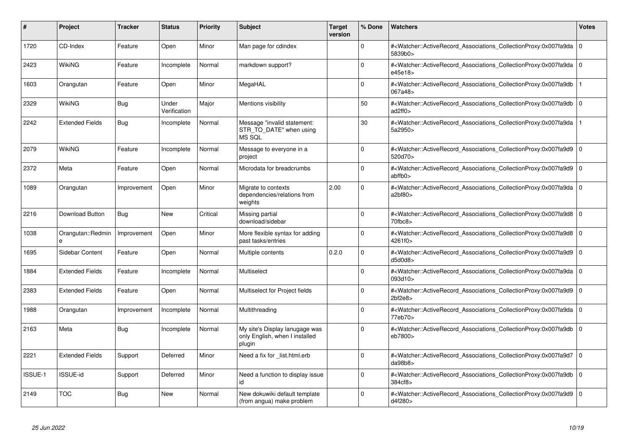| #              | Project                | <b>Tracker</b> | <b>Status</b>         | <b>Priority</b> | <b>Subject</b>                                                             | <b>Target</b><br>version | % Done   | Watchers                                                                                                                                                 | <b>Votes</b>   |
|----------------|------------------------|----------------|-----------------------|-----------------|----------------------------------------------------------------------------|--------------------------|----------|----------------------------------------------------------------------------------------------------------------------------------------------------------|----------------|
| 1720           | CD-Index               | Feature        | Open                  | Minor           | Man page for cdindex                                                       |                          | $\Omega$ | # <watcher::activerecord associations="" collectionproxy:0x007fa9da<br="">5839b0&gt;</watcher::activerecord>                                             | 0              |
| 2423           | <b>WikiNG</b>          | Feature        | Incomplete            | Normal          | markdown support?                                                          |                          | $\Omega$ | # <watcher::activerecord associations="" collectionproxy:0x007fa9da<br="">e45e18&gt;</watcher::activerecord>                                             | l O            |
| 1603           | Orangutan              | Feature        | Open                  | Minor           | MegaHAL                                                                    |                          | $\Omega$ | # <watcher::activerecord_associations_collectionproxy:0x007fa9db<br>067a48&gt;</watcher::activerecord_associations_collectionproxy:0x007fa9db<br>        |                |
| 2329           | <b>WikiNG</b>          | <b>Bug</b>     | Under<br>Verification | Major           | Mentions visibility                                                        |                          | 50       | # <watcher::activerecord_associations_collectionproxy:0x007fa9db<br>ad2ff0&gt;</watcher::activerecord_associations_collectionproxy:0x007fa9db<br>        | l O            |
| 2242           | <b>Extended Fields</b> | <b>Bug</b>     | Incomplete            | Normal          | Message "invalid statement:<br>STR TO DATE" when using<br>MS SQL           |                          | 30       | # <watcher::activerecord associations="" collectionproxy:0x007fa9da<br="">5a2950&gt;</watcher::activerecord>                                             |                |
| 2079           | WikiNG                 | Feature        | Incomplete            | Normal          | Message to everyone in a<br>project                                        |                          | $\Omega$ | # <watcher::activerecord_associations_collectionproxy:0x007fa9d9<br>520d70&gt;</watcher::activerecord_associations_collectionproxy:0x007fa9d9<br>        | $\overline{0}$ |
| 2372           | Meta                   | Feature        | Open                  | Normal          | Microdata for breadcrumbs                                                  |                          | $\Omega$ | # <watcher::activerecord_associations_collectionproxy:0x007fa9d9<br>abffb0</watcher::activerecord_associations_collectionproxy:0x007fa9d9<br>            | l O            |
| 1089           | Orangutan              | Improvement    | Open                  | Minor           | Migrate to contexts<br>dependencies/relations from<br>weights              | 2.00                     | $\Omega$ | # <watcher::activerecord_associations_collectionproxy:0x007fa9da 0<br=""  ="">a2bf80</watcher::activerecord_associations_collectionproxy:0x007fa9da>     |                |
| 2216           | Download Button        | Bug            | <b>New</b>            | Critical        | Missing partial<br>download/sidebar                                        |                          | $\Omega$ | # <watcher::activerecord_associations_collectionproxy:0x007fa9d8<br>70fbc8&gt;</watcher::activerecord_associations_collectionproxy:0x007fa9d8<br>        | ۱o             |
| 1038           | Orangutan::Redmin      | Improvement    | Open                  | Minor           | More flexible syntax for adding<br>past tasks/entries                      |                          | $\Omega$ | # <watcher::activerecord_associations_collectionproxy:0x007fa9d8 0<br=""  ="">4261f0&gt;</watcher::activerecord_associations_collectionproxy:0x007fa9d8> |                |
| 1695           | Sidebar Content        | Feature        | Open                  | Normal          | Multiple contents                                                          | 0.2.0                    | $\Omega$ | # <watcher::activerecord_associations_collectionproxy:0x007fa9d9<br>d5d0d8</watcher::activerecord_associations_collectionproxy:0x007fa9d9<br>            | 0              |
| 1884           | <b>Extended Fields</b> | Feature        | Incomplete            | Normal          | Multiselect                                                                |                          | $\Omega$ | # <watcher::activerecord_associations_collectionproxy:0x007fa9da 0<br=""  ="">093d10&gt;</watcher::activerecord_associations_collectionproxy:0x007fa9da> |                |
| 2383           | <b>Extended Fields</b> | Feature        | Open                  | Normal          | Multiselect for Project fields                                             |                          | $\Omega$ | # <watcher::activerecord associations="" collectionproxy:0x007fa9d9<br=""><math>2bf2e8&gt;</math></watcher::activerecord>                                | l O            |
| 1988           | Orangutan              | Improvement    | Incomplete            | Normal          | Multithreading                                                             |                          | $\Omega$ | # <watcher::activerecord 0<br="" associations="" collectionproxy:0x007fa9da=""  ="">77eb70&gt;</watcher::activerecord>                                   |                |
| 2163           | Meta                   | <b>Bug</b>     | Incomplete            | Normal          | My site's Display lanugage was<br>only English, when I installed<br>plugin |                          | $\Omega$ | # <watcher::activerecord_associations_collectionproxy:0x007fa9db<br>eb7800&gt;</watcher::activerecord_associations_collectionproxy:0x007fa9db<br>        | l O            |
| 2221           | <b>Extended Fields</b> | Support        | Deferred              | Minor           | Need a fix for list.html.erb                                               |                          | $\Omega$ | # <watcher::activerecord associations="" collectionproxy:0x007fa9d7<br="">da98b8</watcher::activerecord>                                                 | l O            |
| <b>ISSUE-1</b> | <b>ISSUE-id</b>        | Support        | Deferred              | Minor           | Need a function to display issue<br>id                                     |                          | $\Omega$ | # <watcher::activerecord associations="" collectionproxy:0x007fa9db<br="">384cf8&gt;</watcher::activerecord>                                             | l O            |
| 2149           | <b>TOC</b>             | <b>Bug</b>     | <b>New</b>            | Normal          | New dokuwiki default template<br>(from angua) make problem                 |                          | $\Omega$ | # <watcher::activerecord_associations_collectionproxy:0x007fa9d9<br>d4f280&gt;</watcher::activerecord_associations_collectionproxy:0x007fa9d9<br>        | ۱٥             |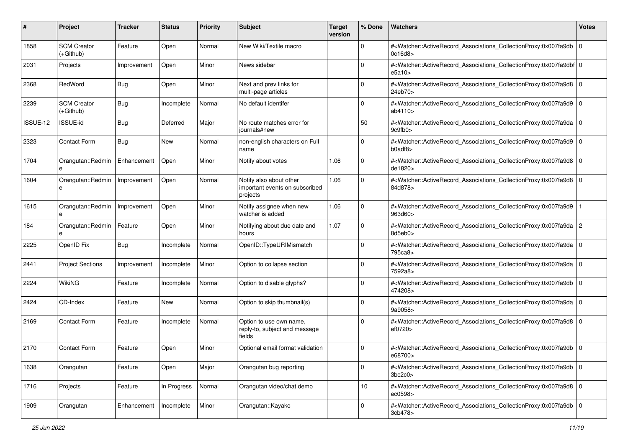| #        | Project                           | <b>Tracker</b> | <b>Status</b> | <b>Priority</b> | <b>Subject</b>                                                        | <b>Target</b><br>version | % Done      | <b>Watchers</b>                                                                                                                                                                | <b>Votes</b> |
|----------|-----------------------------------|----------------|---------------|-----------------|-----------------------------------------------------------------------|--------------------------|-------------|--------------------------------------------------------------------------------------------------------------------------------------------------------------------------------|--------------|
| 1858     | <b>SCM Creator</b><br>$(+Github)$ | Feature        | Open          | Normal          | New Wiki/Textile macro                                                |                          | 0           | # <watcher::activerecord_associations_collectionproxy:0x007fa9db<br>0c16d8</watcher::activerecord_associations_collectionproxy:0x007fa9db<br>                                  | l O          |
| 2031     | Projects                          | Improvement    | Open          | Minor           | News sidebar                                                          |                          | 0           | # <watcher::activerecord_associations_collectionproxy:0x007fa9dbf 0<br=""  ="">e5a10&gt;</watcher::activerecord_associations_collectionproxy:0x007fa9dbf>                      |              |
| 2368     | RedWord                           | Bug            | Open          | Minor           | Next and prev links for<br>multi-page articles                        |                          | 0           | # <watcher::activerecord_associations_collectionproxy:0x007fa9d8 0<br=""  ="">24eb70&gt;</watcher::activerecord_associations_collectionproxy:0x007fa9d8>                       |              |
| 2239     | <b>SCM Creator</b><br>(+Github)   | Bug            | Incomplete    | Normal          | No default identifer                                                  |                          | 0           | # <watcher::activerecord_associations_collectionproxy:0x007fa9d9 0<br="">ab4110&gt;</watcher::activerecord_associations_collectionproxy:0x007fa9d9>                            |              |
| ISSUE-12 | <b>ISSUE-id</b>                   | <b>Bug</b>     | Deferred      | Major           | No route matches error for<br>journals#new                            |                          | 50          | # <watcher::activerecord_associations_collectionproxy:0x007fa9da 0<br=""  ="">9c9fb0</watcher::activerecord_associations_collectionproxy:0x007fa9da>                           |              |
| 2323     | <b>Contact Form</b>               | Bug            | New           | Normal          | non-english characters on Full<br>name                                |                          | $\Omega$    | # <watcher::activerecord_associations_collectionproxy:0x007fa9d9 0<br=""  =""><math>b0</math>adf<math>8</math></watcher::activerecord_associations_collectionproxy:0x007fa9d9> |              |
| 1704     | Orangutan::Redmin                 | Enhancement    | Open          | Minor           | Notify about votes                                                    | 1.06                     | $\mathbf 0$ | # <watcher::activerecord_associations_collectionproxy:0x007fa9d8 0<br="">de1820&gt;</watcher::activerecord_associations_collectionproxy:0x007fa9d8>                            |              |
| 1604     | Orangutan::Redmin<br>e            | Improvement    | Open          | Normal          | Notify also about other<br>important events on subscribed<br>projects | 1.06                     | $\mathbf 0$ | # <watcher::activerecord 0<br="" associations="" collectionproxy:0x007fa9d8="">84d878&gt;</watcher::activerecord>                                                              |              |
| 1615     | Orangutan::Redmin<br>e            | Improvement    | Open          | Minor           | Notify assignee when new<br>watcher is added                          | 1.06                     | $\mathbf 0$ | # <watcher::activerecord_associations_collectionproxy:0x007fa9d9<br>963d60&gt;</watcher::activerecord_associations_collectionproxy:0x007fa9d9<br>                              |              |
| 184      | Orangutan::Redmin<br>e            | Feature        | Open          | Minor           | Notifying about due date and<br>hours                                 | 1.07                     | $\Omega$    | # <watcher::activerecord_associations_collectionproxy:0x007fa9da 2<br="">8d5eb0&gt;</watcher::activerecord_associations_collectionproxy:0x007fa9da>                            |              |
| 2225     | OpenID Fix                        | Bug            | Incomplete    | Normal          | OpenID::TypeURIMismatch                                               |                          | $\Omega$    | # <watcher::activerecord_associations_collectionproxy:0x007fa9da 0<br=""  ="">795ca8&gt;</watcher::activerecord_associations_collectionproxy:0x007fa9da>                       |              |
| 2441     | <b>Project Sections</b>           | Improvement    | Incomplete    | Minor           | Option to collapse section                                            |                          | $\Omega$    | # <watcher::activerecord_associations_collectionproxy:0x007fa9da 0<br="">7592a8&gt;</watcher::activerecord_associations_collectionproxy:0x007fa9da>                            |              |
| 2224     | <b>WikiNG</b>                     | Feature        | Incomplete    | Normal          | Option to disable glyphs?                                             |                          | 0           | # <watcher::activerecord_associations_collectionproxy:0x007fa9db 0<br=""  ="">474208&gt;</watcher::activerecord_associations_collectionproxy:0x007fa9db>                       |              |
| 2424     | CD-Index                          | Feature        | New           | Normal          | Option to skip thumbnail(s)                                           |                          | $\Omega$    | # <watcher::activerecord_associations_collectionproxy:0x007fa9da 0<br=""  ="">9a9058&gt;</watcher::activerecord_associations_collectionproxy:0x007fa9da>                       |              |
| 2169     | <b>Contact Form</b>               | Feature        | Incomplete    | Normal          | Option to use own name,<br>reply-to, subject and message<br>fields    |                          | 0           | # <watcher::activerecord_associations_collectionproxy:0x007fa9d8 0<br=""  ="">ef0720&gt;</watcher::activerecord_associations_collectionproxy:0x007fa9d8>                       |              |
| 2170     | <b>Contact Form</b>               | Feature        | Open          | Minor           | Optional email format validation                                      |                          | 0           | # <watcher::activerecord_associations_collectionproxy:0x007fa9db 0<br=""  ="">e68700&gt;</watcher::activerecord_associations_collectionproxy:0x007fa9db>                       |              |
| 1638     | Orangutan                         | Feature        | Open          | Major           | Orangutan bug reporting                                               |                          | 0           | # <watcher::activerecord_associations_collectionproxy:0x007fa9db 0<br=""  ="">3bc2c0</watcher::activerecord_associations_collectionproxy:0x007fa9db>                           |              |
| 1716     | Projects                          | Feature        | In Progress   | Normal          | Orangutan video/chat demo                                             |                          | 10          | # <watcher::activerecord 0<br="" associations="" collectionproxy:0x007fa9d8="">ec0598&gt;</watcher::activerecord>                                                              |              |
| 1909     | Orangutan                         | Enhancement    | Incomplete    | Minor           | Orangutan::Kayako                                                     |                          | 0           | # <watcher::activerecord_associations_collectionproxy:0x007fa9db 0<br=""  ="">3cb478&gt;</watcher::activerecord_associations_collectionproxy:0x007fa9db>                       |              |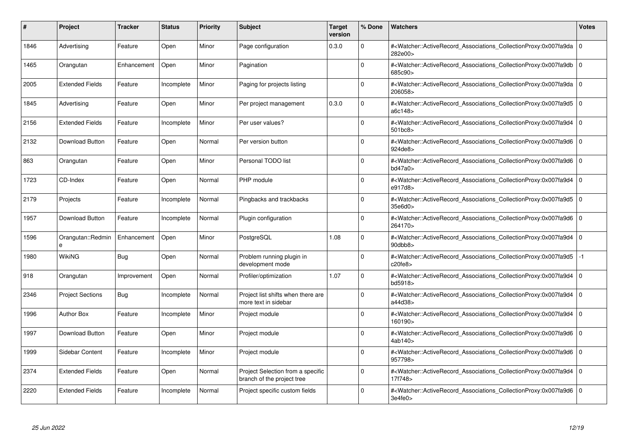| #    | Project                 | <b>Tracker</b> | <b>Status</b> | <b>Priority</b> | <b>Subject</b>                                                  | <b>Target</b><br>version | % Done      | <b>Watchers</b>                                                                                                                                          | <b>Votes</b> |
|------|-------------------------|----------------|---------------|-----------------|-----------------------------------------------------------------|--------------------------|-------------|----------------------------------------------------------------------------------------------------------------------------------------------------------|--------------|
| 1846 | Advertising             | Feature        | Open          | Minor           | Page configuration                                              | 0.3.0                    | $\Omega$    | # <watcher::activerecord associations="" collectionproxy:0x007fa9da<br="">282e00&gt;</watcher::activerecord>                                             | $\mathbf 0$  |
| 1465 | Orangutan               | Enhancement    | Open          | Minor           | Pagination                                                      |                          | $\Omega$    | # <watcher::activerecord_associations_collectionproxy:0x007fa9db 0<br=""  ="">685c90&gt;</watcher::activerecord_associations_collectionproxy:0x007fa9db> |              |
| 2005 | <b>Extended Fields</b>  | Feature        | Incomplete    | Minor           | Paging for projects listing                                     |                          | $\Omega$    | # <watcher::activerecord 0<br="" associations="" collectionproxy:0x007fa9da=""  ="">206058&gt;</watcher::activerecord>                                   |              |
| 1845 | Advertising             | Feature        | Open          | Minor           | Per project management                                          | 0.3.0                    | $\Omega$    | # <watcher::activerecord 0<br="" associations="" collectionproxy:0x007fa9d5=""  ="">a6c148&gt;</watcher::activerecord>                                   |              |
| 2156 | <b>Extended Fields</b>  | Feature        | Incomplete    | Minor           | Per user values?                                                |                          | $\Omega$    | # <watcher::activerecord_associations_collectionproxy:0x007fa9d4 0<br="">501bc8&gt;</watcher::activerecord_associations_collectionproxy:0x007fa9d4>      |              |
| 2132 | Download Button         | Feature        | Open          | Normal          | Per version button                                              |                          | $\Omega$    | # <watcher::activerecord 0<br="" associations="" collectionproxy:0x007fa9d6=""  ="">924de8&gt;</watcher::activerecord>                                   |              |
| 863  | Orangutan               | Feature        | Open          | Minor           | Personal TODO list                                              |                          | $\Omega$    | # <watcher::activerecord_associations_collectionproxy:0x007fa9d6 0<br=""  ="">bd47a0</watcher::activerecord_associations_collectionproxy:0x007fa9d6>     |              |
| 1723 | CD-Index                | Feature        | Open          | Normal          | PHP module                                                      |                          | $\Omega$    | # <watcher::activerecord 0<br="" associations="" collectionproxy:0x007fa9d4=""  ="">e917d8&gt;</watcher::activerecord>                                   |              |
| 2179 | Projects                | Feature        | Incomplete    | Normal          | Pingbacks and trackbacks                                        |                          | $\Omega$    | # <watcher::activerecord_associations_collectionproxy:0x007fa9d5 0<br=""  ="">35e6d0&gt;</watcher::activerecord_associations_collectionproxy:0x007fa9d5> |              |
| 1957 | <b>Download Button</b>  | Feature        | Incomplete    | Normal          | Plugin configuration                                            |                          | $\Omega$    | # <watcher::activerecord_associations_collectionproxy:0x007fa9d6 0<br=""  ="">264170&gt;</watcher::activerecord_associations_collectionproxy:0x007fa9d6> |              |
| 1596 | Orangutan::Redmin<br>e  | Enhancement    | Open          | Minor           | PostgreSQL                                                      | 1.08                     | $\Omega$    | # <watcher::activerecord 0<br="" associations="" collectionproxy:0x007fa9d4=""  ="">90dbb8&gt;</watcher::activerecord>                                   |              |
| 1980 | <b>WikiNG</b>           | Bug            | Open          | Normal          | Problem running plugin in<br>development mode                   |                          | $\Omega$    | # <watcher::activerecord associations="" collectionproxy:0x007fa9d5<br="">c20fe8</watcher::activerecord>                                                 | $-1$         |
| 918  | Orangutan               | Improvement    | Open          | Normal          | Profiler/optimization                                           | 1.07                     | $\Omega$    | # <watcher::activerecord 0<br="" associations="" collectionproxy:0x007fa9d4=""  ="">bd5918&gt;</watcher::activerecord>                                   |              |
| 2346 | <b>Project Sections</b> | Bug            | Incomplete    | Normal          | Project list shifts when there are<br>more text in sidebar      |                          | $\mathbf 0$ | # <watcher::activerecord_associations_collectionproxy:0x007fa9d4  <br="">a44d38&gt;</watcher::activerecord_associations_collectionproxy:0x007fa9d4>      | $\mathbf 0$  |
| 1996 | <b>Author Box</b>       | Feature        | Incomplete    | Minor           | Project module                                                  |                          | $\Omega$    | # <watcher::activerecord_associations_collectionproxy:0x007fa9d4 0<br=""  ="">160190&gt;</watcher::activerecord_associations_collectionproxy:0x007fa9d4> |              |
| 1997 | Download Button         | Feature        | Open          | Minor           | Project module                                                  |                          | $\Omega$    | # <watcher::activerecord 0<br="" associations="" collectionproxy:0x007fa9d6=""  ="">4ab140&gt;</watcher::activerecord>                                   |              |
| 1999 | Sidebar Content         | Feature        | Incomplete    | Minor           | Project module                                                  |                          | $\Omega$    | # <watcher::activerecord_associations_collectionproxy:0x007fa9d6 0<br=""  ="">957798&gt;</watcher::activerecord_associations_collectionproxy:0x007fa9d6> |              |
| 2374 | <b>Extended Fields</b>  | Feature        | Open          | Normal          | Project Selection from a specific<br>branch of the project tree |                          | $\Omega$    | # <watcher::activerecord associations="" collectionproxy:0x007fa9d4<br="">17f748&gt;</watcher::activerecord>                                             | $\mathbf 0$  |
| 2220 | <b>Extended Fields</b>  | Feature        | Incomplete    | Normal          | Project specific custom fields                                  |                          | $\Omega$    | # <watcher::activerecord_associations_collectionproxy:0x007fa9d6 0<br=""  ="">3e4fe0</watcher::activerecord_associations_collectionproxy:0x007fa9d6>     |              |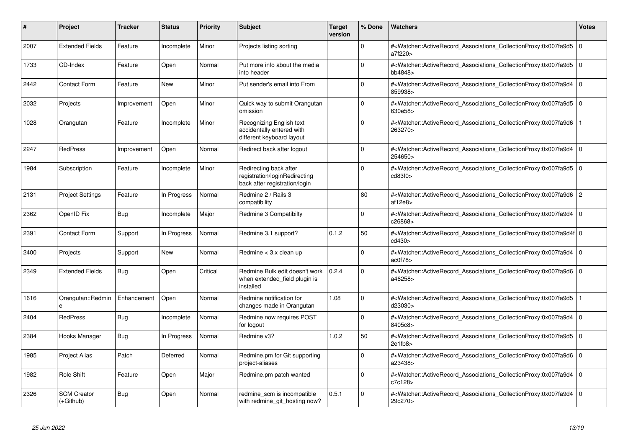| #    | Project                         | <b>Tracker</b> | <b>Status</b> | <b>Priority</b> | <b>Subject</b>                                                                           | <b>Target</b><br>version | % Done      | Watchers                                                                                                                                                  | <b>Votes</b>   |
|------|---------------------------------|----------------|---------------|-----------------|------------------------------------------------------------------------------------------|--------------------------|-------------|-----------------------------------------------------------------------------------------------------------------------------------------------------------|----------------|
| 2007 | <b>Extended Fields</b>          | Feature        | Incomplete    | Minor           | Projects listing sorting                                                                 |                          | $\Omega$    | # <watcher::activerecord associations="" collectionproxy:0x007fa9d5<br="">a7f220&gt;</watcher::activerecord>                                              | 0              |
| 1733 | CD-Index                        | Feature        | Open          | Normal          | Put more info about the media<br>into header                                             |                          | $\Omega$    | # <watcher::activerecord_associations_collectionproxy:0x007fa9d5<br>bb4848&gt;</watcher::activerecord_associations_collectionproxy:0x007fa9d5<br>         | l O            |
| 2442 | <b>Contact Form</b>             | Feature        | <b>New</b>    | Minor           | Put sender's email into From                                                             |                          | $\Omega$    | # <watcher::activerecord_associations_collectionproxy:0x007fa9d4<br>859938&gt;</watcher::activerecord_associations_collectionproxy:0x007fa9d4<br>         | $\overline{0}$ |
| 2032 | Projects                        | Improvement    | Open          | Minor           | Quick way to submit Orangutan<br>omission                                                |                          | $\Omega$    | # <watcher::activerecord_associations_collectionproxy:0x007fa9d5 0<br=""  ="">630e58&gt;</watcher::activerecord_associations_collectionproxy:0x007fa9d5>  |                |
| 1028 | Orangutan                       | Feature        | Incomplete    | Minor           | Recognizing English text<br>accidentally entered with<br>different keyboard layout       |                          | $\Omega$    | # <watcher::activerecord associations="" collectionproxy:0x007fa9d6<br="">263270&gt;</watcher::activerecord>                                              |                |
| 2247 | <b>RedPress</b>                 | Improvement    | Open          | Normal          | Redirect back after logout                                                               |                          | $\Omega$    | # <watcher::activerecord_associations_collectionproxy:0x007fa9d4<br>254650&gt;</watcher::activerecord_associations_collectionproxy:0x007fa9d4<br>         | $\overline{0}$ |
| 1984 | Subscription                    | Feature        | Incomplete    | Minor           | Redirecting back after<br>registration/loginRedirecting<br>back after registration/login |                          | $\Omega$    | # <watcher::activerecord associations="" collectionproxy:0x007fa9d5<br="">cd83f0&gt;</watcher::activerecord>                                              | I٥             |
| 2131 | <b>Project Settings</b>         | Feature        | In Progress   | Normal          | Redmine 2 / Rails 3<br>compatibility                                                     |                          | 80          | # <watcher::activerecord_associations_collectionproxy:0x007fa9d6 2<br="">af12e8</watcher::activerecord_associations_collectionproxy:0x007fa9d6>           |                |
| 2362 | OpenID Fix                      | <b>Bug</b>     | Incomplete    | Major           | Redmine 3 Compatibilty                                                                   |                          | $\Omega$    | # <watcher::activerecord_associations_collectionproxy:0x007fa9d4<br>c26868&gt;</watcher::activerecord_associations_collectionproxy:0x007fa9d4<br>         | ۱o             |
| 2391 | <b>Contact Form</b>             | Support        | In Progress   | Normal          | Redmine 3.1 support?                                                                     | 0.1.2                    | 50          | # <watcher::activerecord_associations_collectionproxy:0x007fa9d4f 0<br=""  ="">cd430&gt;</watcher::activerecord_associations_collectionproxy:0x007fa9d4f> |                |
| 2400 | Projects                        | Support        | New           | Normal          | Redmine < 3.x clean up                                                                   |                          | $\Omega$    | # <watcher::activerecord_associations_collectionproxy:0x007fa9d4<br>ac0f78</watcher::activerecord_associations_collectionproxy:0x007fa9d4<br>             | 0              |
| 2349 | <b>Extended Fields</b>          | Bug            | Open          | Critical        | Redmine Bulk edit doesn't work<br>when extended_field plugin is<br>installed             | 0.2.4                    | $\Omega$    | # <watcher::activerecord_associations_collectionproxy:0x007fa9d6 0<br=""  ="">a46258&gt;</watcher::activerecord_associations_collectionproxy:0x007fa9d6>  |                |
| 1616 | Orangutan::Redmin<br>e          | Enhancement    | Open          | Normal          | Redmine notification for<br>changes made in Orangutan                                    | 1.08                     | $\Omega$    | # <watcher::activerecord_associations_collectionproxy:0x007fa9d5<br>d23030&gt;</watcher::activerecord_associations_collectionproxy:0x007fa9d5<br>         |                |
| 2404 | RedPress                        | Bug            | Incomplete    | Normal          | Redmine now requires POST<br>for logout                                                  |                          | $\mathbf 0$ | # <watcher::activerecord_associations_collectionproxy:0x007fa9d4<br>8405c8&gt;</watcher::activerecord_associations_collectionproxy:0x007fa9d4<br>         | l O            |
| 2384 | Hooks Manager                   | Bug            | In Progress   | Normal          | Redmine v3?                                                                              | 1.0.2                    | 50          | # <watcher::activerecord_associations_collectionproxy:0x007fa9d5 0<br=""  ="">2e1fb8</watcher::activerecord_associations_collectionproxy:0x007fa9d5>      |                |
| 1985 | <b>Project Alias</b>            | Patch          | Deferred      | Normal          | Redmine.pm for Git supporting<br>project-aliases                                         |                          | $\Omega$    | # <watcher::activerecord associations="" collectionproxy:0x007fa9d6<br="">a23438&gt;</watcher::activerecord>                                              | 0              |
| 1982 | <b>Role Shift</b>               | Feature        | Open          | Major           | Redmine.pm patch wanted                                                                  |                          | $\Omega$    | # <watcher::activerecord associations="" collectionproxy:0x007fa9d4<br="">c7c128&gt;</watcher::activerecord>                                              | $\overline{0}$ |
| 2326 | <b>SCM Creator</b><br>(+Github) | <b>Bug</b>     | Open          | Normal          | redmine scm is incompatible<br>with redmine git hosting now?                             | 0.5.1                    | $\Omega$    | # <watcher::activerecord_associations_collectionproxy:0x007fa9d4<br>29c270&gt;</watcher::activerecord_associations_collectionproxy:0x007fa9d4<br>         | 0              |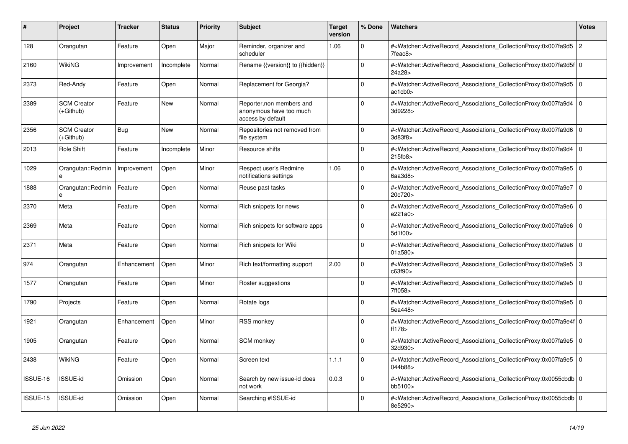| #        | <b>Project</b>                  | <b>Tracker</b> | <b>Status</b> | <b>Priority</b> | <b>Subject</b>                                                            | <b>Target</b><br>version | % Done       | <b>Watchers</b>                                                                                                                                           | <b>Votes</b>   |
|----------|---------------------------------|----------------|---------------|-----------------|---------------------------------------------------------------------------|--------------------------|--------------|-----------------------------------------------------------------------------------------------------------------------------------------------------------|----------------|
| 128      | Orangutan                       | Feature        | Open          | Major           | Reminder, organizer and<br>scheduler                                      | 1.06                     | $\Omega$     | # <watcher::activerecord_associations_collectionproxy:0x007fa9d5<br>7feac8&gt;</watcher::activerecord_associations_collectionproxy:0x007fa9d5<br>         | $\overline{2}$ |
| 2160     | WikiNG                          | Improvement    | Incomplete    | Normal          | Rename {{version}} to {{hidden}}                                          |                          | $\Omega$     | # <watcher::activerecord_associations_collectionproxy:0x007fa9d5f 0<br=""  ="">24a28&gt;</watcher::activerecord_associations_collectionproxy:0x007fa9d5f> |                |
| 2373     | Red-Andy                        | Feature        | Open          | Normal          | Replacement for Georgia?                                                  |                          | $\mathbf 0$  | # <watcher::activerecord 0<br="" associations="" collectionproxy:0x007fa9d5=""  ="">ac1cb0&gt;</watcher::activerecord>                                    |                |
| 2389     | <b>SCM Creator</b><br>(+Github) | Feature        | <b>New</b>    | Normal          | Reporter, non members and<br>anonymous have too much<br>access by default |                          | $\Omega$     | # <watcher::activerecord_associations_collectionproxy:0x007fa9d4<br>3d9228&gt;</watcher::activerecord_associations_collectionproxy:0x007fa9d4<br>         | $\mathbf 0$    |
| 2356     | <b>SCM Creator</b><br>(+Github) | <b>Bug</b>     | <b>New</b>    | Normal          | Repositories not removed from<br>file system                              |                          | 0            | # <watcher::activerecord 0<br="" associations="" collectionproxy:0x007fa9d6=""  ="">3d83f8&gt;</watcher::activerecord>                                    |                |
| 2013     | Role Shift                      | Feature        | Incomplete    | Minor           | Resource shifts                                                           |                          | $\mathbf 0$  | # <watcher::activerecord_associations_collectionproxy:0x007fa9d4 0<br=""  ="">215fb8&gt;</watcher::activerecord_associations_collectionproxy:0x007fa9d4>  |                |
| 1029     | Orangutan::Redmin<br>e          | Improvement    | Open          | Minor           | Respect user's Redmine<br>notifications settings                          | 1.06                     | $\Omega$     | # <watcher::activerecord_associations_collectionproxy:0x007fa9e5<br>6aa3d8</watcher::activerecord_associations_collectionproxy:0x007fa9e5<br>             | $\overline{0}$ |
| 1888     | Orangutan::Redmin<br>e          | Feature        | Open          | Normal          | Reuse past tasks                                                          |                          | $\Omega$     | # <watcher::activerecord_associations_collectionproxy:0x007fa9e7 0<br="">20c720&gt;</watcher::activerecord_associations_collectionproxy:0x007fa9e7>       |                |
| 2370     | Meta                            | Feature        | Open          | Normal          | Rich snippets for news                                                    |                          | $\mathbf 0$  | # <watcher::activerecord 0<br="" associations="" collectionproxy:0x007fa9e6=""  ="">e221a0&gt;</watcher::activerecord>                                    |                |
| 2369     | Meta                            | Feature        | Open          | Normal          | Rich snippets for software apps                                           |                          | $\Omega$     | # <watcher::activerecord_associations_collectionproxy:0x007fa9e6 0<br="">5d1f00&gt;</watcher::activerecord_associations_collectionproxy:0x007fa9e6>       |                |
| 2371     | Meta                            | Feature        | Open          | Normal          | Rich snippets for Wiki                                                    |                          | $\mathbf{0}$ | # <watcher::activerecord_associations_collectionproxy:0x007fa9e6 0<br="">01a580&gt;</watcher::activerecord_associations_collectionproxy:0x007fa9e6>       |                |
| 974      | Orangutan                       | Enhancement    | Open          | Minor           | Rich text/formatting support                                              | 2.00                     | $\mathbf 0$  | # <watcher::activerecord_associations_collectionproxy:0x007fa9e5 3<br="">c63f90&gt;</watcher::activerecord_associations_collectionproxy:0x007fa9e5>       |                |
| 1577     | Orangutan                       | Feature        | Open          | Minor           | Roster suggestions                                                        |                          | $\Omega$     | # <watcher::activerecord_associations_collectionproxy:0x007fa9e5<br>7ff058&gt;</watcher::activerecord_associations_collectionproxy:0x007fa9e5<br>         | l 0            |
| 1790     | Projects                        | Feature        | Open          | Normal          | Rotate logs                                                               |                          | $\Omega$     | # <watcher::activerecord_associations_collectionproxy:0x007fa9e5 0<br="">5ea448&gt;</watcher::activerecord_associations_collectionproxy:0x007fa9e5>       |                |
| 1921     | Orangutan                       | Enhancement    | Open          | Minor           | <b>RSS monkey</b>                                                         |                          | $\mathbf 0$  | # <watcher::activerecord 0<br="" associations="" collectionproxy:0x007fa9e4f=""  ="">ff178</watcher::activerecord>                                        |                |
| 1905     | Orangutan                       | Feature        | Open          | Normal          | SCM monkey                                                                |                          | $\mathbf 0$  | # <watcher::activerecord_associations_collectionproxy:0x007fa9e5<br>32d930&gt;</watcher::activerecord_associations_collectionproxy:0x007fa9e5<br>         | l O            |
| 2438     | WikiNG                          | Feature        | Open          | Normal          | Screen text                                                               | 1.1.1                    | $\Omega$     | # <watcher::activerecord 0<br="" associations="" collectionproxy:0x007fa9e5=""  ="">044b88&gt;</watcher::activerecord>                                    |                |
| ISSUE-16 | <b>ISSUE-id</b>                 | Omission       | Open          | Normal          | Search by new issue-id does<br>not work                                   | 0.0.3                    | $\mathbf 0$  | # <watcher::activerecord_associations_collectionproxy:0x0055cbdb 0<br=""  ="">bb5100&gt;</watcher::activerecord_associations_collectionproxy:0x0055cbdb>  |                |
| ISSUE-15 | <b>ISSUE-id</b>                 | Omission       | Open          | Normal          | Searching #ISSUE-id                                                       |                          | $\Omega$     | # <watcher::activerecord_associations_collectionproxy:0x0055cbdb 0<br=""  ="">8e5290&gt;</watcher::activerecord_associations_collectionproxy:0x0055cbdb>  |                |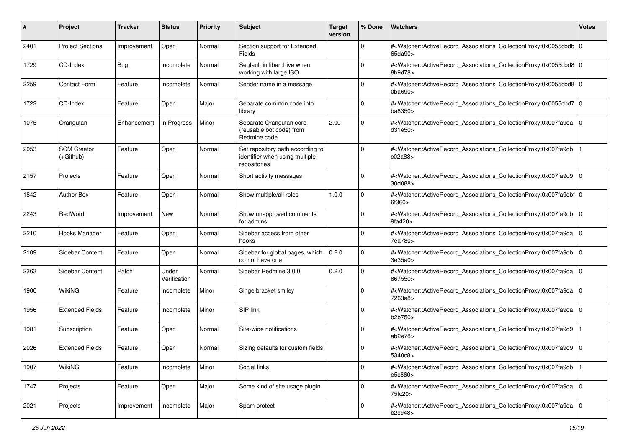| #    | Project                           | <b>Tracker</b> | <b>Status</b>         | <b>Priority</b> | <b>Subject</b>                                                                     | <b>Target</b><br>version | % Done      | Watchers                                                                                                                                                                      | <b>Votes</b> |
|------|-----------------------------------|----------------|-----------------------|-----------------|------------------------------------------------------------------------------------|--------------------------|-------------|-------------------------------------------------------------------------------------------------------------------------------------------------------------------------------|--------------|
| 2401 | <b>Project Sections</b>           | Improvement    | Open                  | Normal          | Section support for Extended<br>Fields                                             |                          | $\mathbf 0$ | # <watcher::activerecord_associations_collectionproxy:0x0055cbdb 0<br=""  ="">65da90&gt;</watcher::activerecord_associations_collectionproxy:0x0055cbdb>                      |              |
| 1729 | CD-Index                          | <b>Bug</b>     | Incomplete            | Normal          | Segfault in libarchive when<br>working with large ISO                              |                          | $\Omega$    | # <watcher::activerecord_associations_collectionproxy:0x0055cbd8 0<br="">8b9d78&gt;</watcher::activerecord_associations_collectionproxy:0x0055cbd8>                           |              |
| 2259 | <b>Contact Form</b>               | Feature        | Incomplete            | Normal          | Sender name in a message                                                           |                          | $\Omega$    | # <watcher::activerecord_associations_collectionproxy:0x0055cbd8 0<br=""><math>0</math>ba690<math>&gt;</math></watcher::activerecord_associations_collectionproxy:0x0055cbd8> |              |
| 1722 | CD-Index                          | Feature        | Open                  | Major           | Separate common code into<br>library                                               |                          | 0           | # <watcher::activerecord_associations_collectionproxy:0x0055cbd7 0<br="">ba8350&gt;</watcher::activerecord_associations_collectionproxy:0x0055cbd7>                           |              |
| 1075 | Orangutan                         | Enhancement    | In Progress           | Minor           | Separate Orangutan core<br>(reusable bot code) from<br>Redmine code                | 2.00                     | $\Omega$    | # <watcher::activerecord_associations_collectionproxy:0x007fa9da 0<br=""  ="">d31e50&gt;</watcher::activerecord_associations_collectionproxy:0x007fa9da>                      |              |
| 2053 | <b>SCM Creator</b><br>$(+Github)$ | Feature        | Open                  | Normal          | Set repository path according to<br>identifier when using multiple<br>repositories |                          | $\Omega$    | # <watcher::activerecord_associations_collectionproxy:0x007fa9db<br>c02a88&gt;</watcher::activerecord_associations_collectionproxy:0x007fa9db<br>                             |              |
| 2157 | Projects                          | Feature        | Open                  | Normal          | Short activity messages                                                            |                          | 0           | # <watcher::activerecord_associations_collectionproxy:0x007fa9d9 0<br="">30d088&gt;</watcher::activerecord_associations_collectionproxy:0x007fa9d9>                           |              |
| 1842 | <b>Author Box</b>                 | Feature        | Open                  | Normal          | Show multiple/all roles                                                            | 1.0.0                    | $\Omega$    | # <watcher::activerecord_associations_collectionproxy:0x007fa9dbf 0<br="">6f360&gt;</watcher::activerecord_associations_collectionproxy:0x007fa9dbf>                          |              |
| 2243 | RedWord                           | Improvement    | <b>New</b>            | Normal          | Show unapproved comments<br>for admins                                             |                          | $\Omega$    | # <watcher::activerecord_associations_collectionproxy:0x007fa9db 0<br=""  ="">9fa420&gt;</watcher::activerecord_associations_collectionproxy:0x007fa9db>                      |              |
| 2210 | Hooks Manager                     | Feature        | Open                  | Normal          | Sidebar access from other<br>hooks                                                 |                          | $\mathbf 0$ | # <watcher::activerecord_associations_collectionproxy:0x007fa9da 0<br=""  ="">7ea780&gt;</watcher::activerecord_associations_collectionproxy:0x007fa9da>                      |              |
| 2109 | Sidebar Content                   | Feature        | Open                  | Normal          | Sidebar for global pages, which<br>do not have one                                 | 0.2.0                    | $\Omega$    | # <watcher::activerecord_associations_collectionproxy:0x007fa9db 0<br=""  ="">3e35a0</watcher::activerecord_associations_collectionproxy:0x007fa9db>                          |              |
| 2363 | Sidebar Content                   | Patch          | Under<br>Verification | Normal          | Sidebar Redmine 3.0.0                                                              | 0.2.0                    | $\Omega$    | # <watcher::activerecord_associations_collectionproxy:0x007fa9da 0<br=""  ="">867550&gt;</watcher::activerecord_associations_collectionproxy:0x007fa9da>                      |              |
| 1900 | <b>WikiNG</b>                     | Feature        | Incomplete            | Minor           | Singe bracket smiley                                                               |                          | $\Omega$    | # <watcher::activerecord_associations_collectionproxy:0x007fa9da 0<br=""  ="">7263a8&gt;</watcher::activerecord_associations_collectionproxy:0x007fa9da>                      |              |
| 1956 | <b>Extended Fields</b>            | Feature        | Incomplete            | Minor           | SIP link                                                                           |                          | $\Omega$    | # <watcher::activerecord_associations_collectionproxy:0x007fa9da 0<br=""  ="">b2b750&gt;</watcher::activerecord_associations_collectionproxy:0x007fa9da>                      |              |
| 1981 | Subscription                      | Feature        | Open                  | Normal          | Site-wide notifications                                                            |                          | $\Omega$    | # <watcher::activerecord_associations_collectionproxy:0x007fa9d9<br>ab2e78</watcher::activerecord_associations_collectionproxy:0x007fa9d9<br>                                 |              |
| 2026 | <b>Extended Fields</b>            | Feature        | Open                  | Normal          | Sizing defaults for custom fields                                                  |                          | $\Omega$    | # <watcher::activerecord_associations_collectionproxy:0x007fa9d9 0<br="">5340c8&gt;</watcher::activerecord_associations_collectionproxy:0x007fa9d9>                           |              |
| 1907 | WikiNG                            | Feature        | Incomplete            | Minor           | Social links                                                                       |                          | 0           | # <watcher::activerecord_associations_collectionproxy:0x007fa9db<br>e5c860&gt;</watcher::activerecord_associations_collectionproxy:0x007fa9db<br>                             |              |
| 1747 | Projects                          | Feature        | Open                  | Major           | Some kind of site usage plugin                                                     |                          | $\mathbf 0$ | # <watcher::activerecord_associations_collectionproxy:0x007fa9da 0<br="">75fc20&gt;</watcher::activerecord_associations_collectionproxy:0x007fa9da>                           |              |
| 2021 | Projects                          | Improvement    | Incomplete            | Major           | Spam protect                                                                       |                          | $\Omega$    | # <watcher::activerecord_associations_collectionproxy:0x007fa9da 0<br="">b2c948&gt;</watcher::activerecord_associations_collectionproxy:0x007fa9da>                           |              |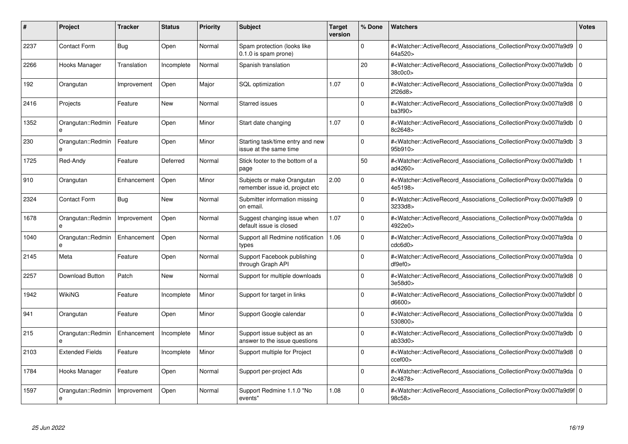| #    | <b>Project</b>         | <b>Tracker</b> | <b>Status</b> | <b>Priority</b> | <b>Subject</b>                                               | <b>Target</b><br>version | % Done      | <b>Watchers</b>                                                                                                                                           | <b>Votes</b> |
|------|------------------------|----------------|---------------|-----------------|--------------------------------------------------------------|--------------------------|-------------|-----------------------------------------------------------------------------------------------------------------------------------------------------------|--------------|
| 2237 | <b>Contact Form</b>    | <b>Bug</b>     | Open          | Normal          | Spam protection (looks like<br>$0.1.0$ is spam prone)        |                          | $\Omega$    | # <watcher::activerecord associations="" collectionproxy:0x007fa9d9<br="">64a520&gt;</watcher::activerecord>                                              | $\Omega$     |
| 2266 | Hooks Manager          | Translation    | Incomplete    | Normal          | Spanish translation                                          |                          | 20          | # <watcher::activerecord 0<br="" associations="" collectionproxy:0x007fa9db=""  ="">38c0c0&gt;</watcher::activerecord>                                    |              |
| 192  | Orangutan              | Improvement    | Open          | Major           | <b>SQL</b> optimization                                      | 1.07                     | $\mathbf 0$ | # <watcher::activerecord associations="" collectionproxy:0x007fa9da<br="">2f26d8&gt;</watcher::activerecord>                                              | l 0          |
| 2416 | Projects               | Feature        | <b>New</b>    | Normal          | Starred issues                                               |                          | $\Omega$    | # <watcher::activerecord_associations_collectionproxy:0x007fa9d8 0<br=""  ="">ba3f90&gt;</watcher::activerecord_associations_collectionproxy:0x007fa9d8>  |              |
| 1352 | Orangutan::Redmin      | Feature        | Open          | Minor           | Start date changing                                          | 1.07                     | $\Omega$    | # <watcher::activerecord associations="" collectionproxy:0x007fa9db<br="">8c2648&gt;</watcher::activerecord>                                              | l 0          |
| 230  | Orangutan::Redmin<br>e | Feature        | Open          | Minor           | Starting task/time entry and new<br>issue at the same time   |                          | $\Omega$    | # <watcher::activerecord_associations_collectionproxy:0x007fa9db 3<br="">95b910&gt;</watcher::activerecord_associations_collectionproxy:0x007fa9db>       |              |
| 1725 | Red-Andy               | Feature        | Deferred      | Normal          | Stick footer to the bottom of a<br>page                      |                          | 50          | # <watcher::activerecord_associations_collectionproxy:0x007fa9db<br>ad4260&gt;</watcher::activerecord_associations_collectionproxy:0x007fa9db<br>         |              |
| 910  | Orangutan              | Enhancement    | Open          | Minor           | Subjects or make Orangutan<br>remember issue id, project etc | 2.00                     | $\Omega$    | # <watcher::activerecord_associations_collectionproxy:0x007fa9da 0<br=""  ="">4e5198&gt;</watcher::activerecord_associations_collectionproxy:0x007fa9da>  |              |
| 2324 | <b>Contact Form</b>    | Bug            | New           | Normal          | Submitter information missing<br>on email.                   |                          | $\Omega$    | # <watcher::activerecord 0<br="" associations="" collectionproxy:0x007fa9d9=""  ="">3233d8&gt;</watcher::activerecord>                                    |              |
| 1678 | Orangutan::Redmin<br>e | Improvement    | Open          | Normal          | Suggest changing issue when<br>default issue is closed       | 1.07                     | $\mathbf 0$ | # <watcher::activerecord 0<br="" associations="" collectionproxy:0x007fa9da=""  ="">4922e0&gt;</watcher::activerecord>                                    |              |
| 1040 | Orangutan::Redmin<br>e | Enhancement    | Open          | Normal          | Support all Redmine notification<br>types                    | 1.06                     | $\Omega$    | # <watcher::activerecord_associations_collectionproxy:0x007fa9da 0<br=""  ="">cdc6d0</watcher::activerecord_associations_collectionproxy:0x007fa9da>      |              |
| 2145 | Meta                   | Feature        | Open          | Normal          | Support Facebook publishing<br>through Graph API             |                          | $\Omega$    | # <watcher::activerecord_associations_collectionproxy:0x007fa9da 0<br=""  ="">df9ef0</watcher::activerecord_associations_collectionproxy:0x007fa9da>      |              |
| 2257 | Download Button        | Patch          | New           | Normal          | Support for multiple downloads                               |                          | $\mathbf 0$ | # <watcher::activerecord 0<br="" associations="" collectionproxy:0x007fa9d8=""  ="">3e58d0&gt;</watcher::activerecord>                                    |              |
| 1942 | <b>WikiNG</b>          | Feature        | Incomplete    | Minor           | Support for target in links                                  |                          | $\mathbf 0$ | # <watcher::activerecord_associations_collectionproxy:0x007fa9dbf 0<br=""  ="">d6600&gt;</watcher::activerecord_associations_collectionproxy:0x007fa9dbf> |              |
| 941  | Orangutan              | Feature        | Open          | Minor           | Support Google calendar                                      |                          | $\Omega$    | # <watcher::activerecord_associations_collectionproxy:0x007fa9da 0<br=""  ="">530800&gt;</watcher::activerecord_associations_collectionproxy:0x007fa9da>  |              |
| 215  | Orangutan::Redmin      | Enhancement    | Incomplete    | Minor           | Support issue subject as an<br>answer to the issue questions |                          | $\Omega$    | # <watcher::activerecord associations="" collectionproxy:0x007fa9db<br="">ab33d0</watcher::activerecord>                                                  | l 0          |
| 2103 | <b>Extended Fields</b> | Feature        | Incomplete    | Minor           | Support multiple for Project                                 |                          | $\mathbf 0$ | # <watcher::activerecord 0<br="" associations="" collectionproxy:0x007fa9d8=""  ="">ccef00</watcher::activerecord>                                        |              |
| 1784 | Hooks Manager          | Feature        | Open          | Normal          | Support per-project Ads                                      |                          | $\Omega$    | # <watcher::activerecord associations="" collectionproxy:0x007fa9da<br="">2c4878&gt;</watcher::activerecord>                                              | l 0          |
| 1597 | Orangutan::Redmin<br>e | Improvement    | Open          | Normal          | Support Redmine 1.1.0 "No<br>events"                         | 1.08                     | $\Omega$    | # <watcher::activerecord_associations_collectionproxy:0x007fa9d9f 0<br=""  ="">98c58&gt;</watcher::activerecord_associations_collectionproxy:0x007fa9d9f> |              |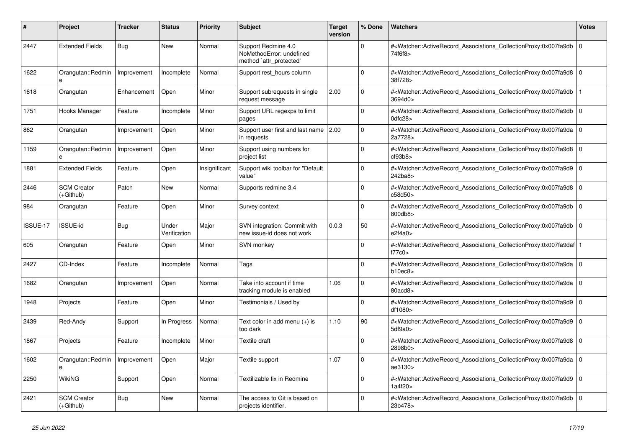| #        | <b>Project</b>                    | <b>Tracker</b> | <b>Status</b>         | <b>Priority</b> | <b>Subject</b>                                                             | <b>Target</b><br>version | % Done      | <b>Watchers</b>                                                                                                                                          | Votes       |
|----------|-----------------------------------|----------------|-----------------------|-----------------|----------------------------------------------------------------------------|--------------------------|-------------|----------------------------------------------------------------------------------------------------------------------------------------------------------|-------------|
| 2447     | <b>Extended Fields</b>            | Bug            | <b>New</b>            | Normal          | Support Redmine 4.0<br>NoMethodError: undefined<br>method `attr_protected' |                          | $\Omega$    | # <watcher::activerecord_associations_collectionproxy:0x007fa9db<br>74f6f8&gt;</watcher::activerecord_associations_collectionproxy:0x007fa9db<br>        | $\mathbf 0$ |
| 1622     | Orangutan::Redmin                 | Improvement    | Incomplete            | Normal          | Support rest_hours column                                                  |                          | 0           | # <watcher::activerecord_associations_collectionproxy:0x007fa9d8 0<br=""  ="">38f728&gt;</watcher::activerecord_associations_collectionproxy:0x007fa9d8> |             |
| 1618     | Orangutan                         | Enhancement    | Open                  | Minor           | Support subrequests in single<br>request message                           | 2.00                     | $\Omega$    | # <watcher::activerecord_associations_collectionproxy:0x007fa9db<br>3694d0&gt;</watcher::activerecord_associations_collectionproxy:0x007fa9db<br>        |             |
| 1751     | Hooks Manager                     | Feature        | Incomplete            | Minor           | Support URL regexps to limit<br>pages                                      |                          | $\Omega$    | # <watcher::activerecord_associations_collectionproxy:0x007fa9db<br>0dfc28</watcher::activerecord_associations_collectionproxy:0x007fa9db<br>            | l O         |
| 862      | Orangutan                         | Improvement    | Open                  | Minor           | Support user first and last name 2.00<br>in requests                       |                          | $\Omega$    | # <watcher::activerecord associations="" collectionproxy:0x007fa9da<br="">2a7728&gt;</watcher::activerecord>                                             | l O         |
| 1159     | Orangutan::Redmin<br>e            | Improvement    | Open                  | Minor           | Support using numbers for<br>project list                                  |                          | $\Omega$    | # <watcher::activerecord_associations_collectionproxy:0x007fa9d8<br>cf93b8</watcher::activerecord_associations_collectionproxy:0x007fa9d8<br>            | l o         |
| 1881     | <b>Extended Fields</b>            | Feature        | Open                  | Insignificant   | Support wiki toolbar for "Default<br>value"                                |                          | $\Omega$    | # <watcher::activerecord_associations_collectionproxy:0x007fa9d9<br>242ba8&gt;</watcher::activerecord_associations_collectionproxy:0x007fa9d9<br>        | l O         |
| 2446     | <b>SCM Creator</b><br>$(+Github)$ | Patch          | New                   | Normal          | Supports redmine 3.4                                                       |                          | $\Omega$    | # <watcher::activerecord 0<br="" associations="" collectionproxy:0x007fa9d8=""  ="">c58d50&gt;</watcher::activerecord>                                   |             |
| 984      | Orangutan                         | Feature        | Open                  | Minor           | Survey context                                                             |                          | 0           | # <watcher::activerecord associations="" collectionproxy:0x007fa9db<br="">800db8&gt;</watcher::activerecord>                                             | l O         |
| ISSUE-17 | <b>ISSUE-id</b>                   | Bug            | Under<br>Verification | Major           | SVN integration: Commit with<br>new issue-id does not work                 | 0.0.3                    | 50          | # <watcher::activerecord_associations_collectionproxy:0x007fa9db<br>e2f4a0&gt;</watcher::activerecord_associations_collectionproxy:0x007fa9db<br>        | l O         |
| 605      | Orangutan                         | Feature        | Open                  | Minor           | <b>SVN monkey</b>                                                          |                          | $\Omega$    | # <watcher::activerecord associations="" collectionproxy:0x007fa9daf<br="">f77c0</watcher::activerecord>                                                 |             |
| 2427     | CD-Index                          | Feature        | Incomplete            | Normal          | Tags                                                                       |                          | $\mathbf 0$ | # <watcher::activerecord 0<br="" associations="" collectionproxy:0x007fa9da=""  ="">b10ec8</watcher::activerecord>                                       |             |
| 1682     | Orangutan                         | Improvement    | Open                  | Normal          | Take into account if time<br>tracking module is enabled                    | 1.06                     | $\Omega$    | # <watcher::activerecord_associations_collectionproxy:0x007fa9da<br>80acd8&gt;</watcher::activerecord_associations_collectionproxy:0x007fa9da<br>        | $\Omega$    |
| 1948     | Projects                          | Feature        | Open                  | Minor           | Testimonials / Used by                                                     |                          | $\Omega$    | # <watcher::activerecord_associations_collectionproxy:0x007fa9d9 0<br="">df1080&gt;</watcher::activerecord_associations_collectionproxy:0x007fa9d9>      |             |
| 2439     | Red-Andy                          | Support        | In Progress           | Normal          | Text color in add menu (+) is<br>too dark                                  | 1.10                     | 90          | # <watcher::activerecord associations="" collectionproxy:0x007fa9d9<br="">5df9a0&gt;</watcher::activerecord>                                             | l o         |
| 1867     | Projects                          | Feature        | Incomplete            | Minor           | Textile draft                                                              |                          | $\Omega$    | # <watcher::activerecord_associations_collectionproxy:0x007fa9d8<br>2898b0&gt;</watcher::activerecord_associations_collectionproxy:0x007fa9d8<br>        | $\Omega$    |
| 1602     | Orangutan::Redmin<br>$\mathbf{a}$ | Improvement    | Open                  | Major           | Textile support                                                            | 1.07                     | $\Omega$    | # <watcher::activerecord 0<br="" associations="" collectionproxy:0x007fa9da=""  ="">ae3130&gt;</watcher::activerecord>                                   |             |
| 2250     | <b>WikiNG</b>                     | Support        | Open                  | Normal          | Textilizable fix in Redmine                                                |                          | 0           | # <watcher::activerecord_associations_collectionproxy:0x007fa9d9<br>1a4f20&gt;</watcher::activerecord_associations_collectionproxy:0x007fa9d9<br>        | l o         |
| 2421     | <b>SCM Creator</b><br>$(+Github)$ | Bug            | New                   | Normal          | The access to Git is based on<br>projects identifier.                      |                          | $\Omega$    | # <watcher::activerecord_associations_collectionproxy:0x007fa9db<br>23b478&gt;</watcher::activerecord_associations_collectionproxy:0x007fa9db<br>        | l O         |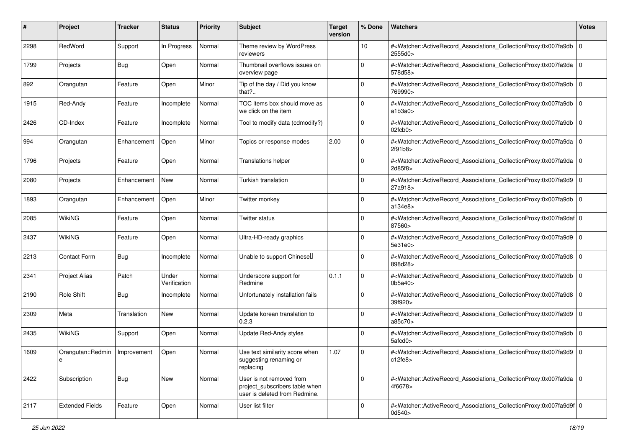| #    | Project                | <b>Tracker</b> | <b>Status</b>         | <b>Priority</b> | <b>Subject</b>                                                                              | <b>Target</b><br>version | % Done      | Watchers                                                                                                                                                                           | <b>Votes</b> |
|------|------------------------|----------------|-----------------------|-----------------|---------------------------------------------------------------------------------------------|--------------------------|-------------|------------------------------------------------------------------------------------------------------------------------------------------------------------------------------------|--------------|
| 2298 | RedWord                | Support        | In Progress           | Normal          | Theme review by WordPress<br>reviewers                                                      |                          | 10          | # <watcher::activerecord_associations_collectionproxy:0x007fa9db 0<br=""  ="">2555d0&gt;</watcher::activerecord_associations_collectionproxy:0x007fa9db>                           |              |
| 1799 | Projects               | <b>Bug</b>     | Open                  | Normal          | Thumbnail overflows issues on<br>overview page                                              |                          | $\Omega$    | # <watcher::activerecord_associations_collectionproxy:0x007fa9da 0<br=""  ="">578d58&gt;</watcher::activerecord_associations_collectionproxy:0x007fa9da>                           |              |
| 892  | Orangutan              | Feature        | Open                  | Minor           | Tip of the day / Did you know<br>that?                                                      |                          | $\Omega$    | # <watcher::activerecord_associations_collectionproxy:0x007fa9db 0<br=""  ="">769990&gt;</watcher::activerecord_associations_collectionproxy:0x007fa9db>                           |              |
| 1915 | Red-Andy               | Feature        | Incomplete            | Normal          | TOC items box should move as<br>we click on the item                                        |                          | $\Omega$    | # <watcher::activerecord_associations_collectionproxy:0x007fa9db<br>a1b3a0</watcher::activerecord_associations_collectionproxy:0x007fa9db<br>                                      | l O          |
| 2426 | CD-Index               | Feature        | Incomplete            | Normal          | Tool to modify data (cdmodify?)                                                             |                          | $\Omega$    | # <watcher::activerecord_associations_collectionproxy:0x007fa9db 0<br=""  =""><math>02</math>fcb<math>0&gt;</math></watcher::activerecord_associations_collectionproxy:0x007fa9db> |              |
| 994  | Orangutan              | Enhancement    | Open                  | Minor           | Topics or response modes                                                                    | 2.00                     | $\Omega$    | # <watcher::activerecord_associations_collectionproxy:0x007fa9da 0<br=""  ="">2f91b8&gt;</watcher::activerecord_associations_collectionproxy:0x007fa9da>                           |              |
| 1796 | Projects               | Feature        | Open                  | Normal          | <b>Translations helper</b>                                                                  |                          | $\Omega$    | # <watcher::activerecord_associations_collectionproxy:0x007fa9da 0<br=""  ="">2d85f8&gt;</watcher::activerecord_associations_collectionproxy:0x007fa9da>                           |              |
| 2080 | Projects               | Enhancement    | New                   | Normal          | Turkish translation                                                                         |                          | 0           | # <watcher::activerecord_associations_collectionproxy:0x007fa9d9 0<br=""  ="">27a918&gt;</watcher::activerecord_associations_collectionproxy:0x007fa9d9>                           |              |
| 1893 | Orangutan              | Enhancement    | Open                  | Minor           | Twitter monkey                                                                              |                          | $\Omega$    | # <watcher::activerecord_associations_collectionproxy:0x007fa9db 0<br=""  ="">a134e8&gt;</watcher::activerecord_associations_collectionproxy:0x007fa9db>                           |              |
| 2085 | <b>WikiNG</b>          | Feature        | Open                  | Normal          | <b>Twitter status</b>                                                                       |                          | ი           | # <watcher::activerecord_associations_collectionproxy:0x007fa9daf 0<br="">87560&gt;</watcher::activerecord_associations_collectionproxy:0x007fa9daf>                               |              |
| 2437 | <b>WikiNG</b>          | Feature        | Open                  | Normal          | Ultra-HD-ready graphics                                                                     |                          | $\Omega$    | # <watcher::activerecord_associations_collectionproxy:0x007fa9d9 0<br="">5e31e0&gt;</watcher::activerecord_associations_collectionproxy:0x007fa9d9>                                |              |
| 2213 | <b>Contact Form</b>    | <b>Bug</b>     | Incomplete            | Normal          | Unable to support Chinesel                                                                  |                          | $\Omega$    | # <watcher::activerecord_associations_collectionproxy:0x007fa9d8 0<br=""  ="">898d28&gt;</watcher::activerecord_associations_collectionproxy:0x007fa9d8>                           |              |
| 2341 | Project Alias          | Patch          | Under<br>Verification | Normal          | Underscore support for<br>Redmine                                                           | 0.1.1                    | $\Omega$    | # <watcher::activerecord_associations_collectionproxy:0x007fa9db<br>0<sub>b</sub>5a40<sub>b</sub></watcher::activerecord_associations_collectionproxy:0x007fa9db<br>               | l 0          |
| 2190 | Role Shift             | <b>Bug</b>     | Incomplete            | Normal          | Unfortunately installation fails                                                            |                          | $\Omega$    | # <watcher::activerecord_associations_collectionproxy:0x007fa9d8 0<br=""  ="">39f920&gt;</watcher::activerecord_associations_collectionproxy:0x007fa9d8>                           |              |
| 2309 | Meta                   | Translation    | <b>New</b>            | Normal          | Update korean translation to<br>0.2.3                                                       |                          | $\mathbf 0$ | # <watcher::activerecord_associations_collectionproxy:0x007fa9d9 0<br=""  ="">a85c70&gt;</watcher::activerecord_associations_collectionproxy:0x007fa9d9>                           |              |
| 2435 | <b>WikiNG</b>          | Support        | Open                  | Normal          | Update Red-Andy styles                                                                      |                          | $\Omega$    | # <watcher::activerecord_associations_collectionproxy:0x007fa9db 0<br=""  ="">5afcd0&gt;</watcher::activerecord_associations_collectionproxy:0x007fa9db>                           |              |
| 1609 | Orangutan::Redmin<br>е | Improvement    | Open                  | Normal          | Use text similarity score when<br>suggesting renaming or<br>replacing                       | 1.07                     | $\Omega$    | # <watcher::activerecord_associations_collectionproxy:0x007fa9d9 0<br=""  ="">c12fe8</watcher::activerecord_associations_collectionproxy:0x007fa9d9>                               |              |
| 2422 | Subscription           | Bug            | New                   | Normal          | User is not removed from<br>project_subscribers table when<br>user is deleted from Redmine. |                          | $\Omega$    | # <watcher::activerecord_associations_collectionproxy:0x007fa9da 0<br="">4f6678&gt;</watcher::activerecord_associations_collectionproxy:0x007fa9da>                                |              |
| 2117 | <b>Extended Fields</b> | Feature        | Open                  | Normal          | User list filter                                                                            |                          | $\Omega$    | # <watcher::activerecord_associations_collectionproxy:0x007fa9d9f 0<br="">0d540&gt;</watcher::activerecord_associations_collectionproxy:0x007fa9d9f>                               |              |